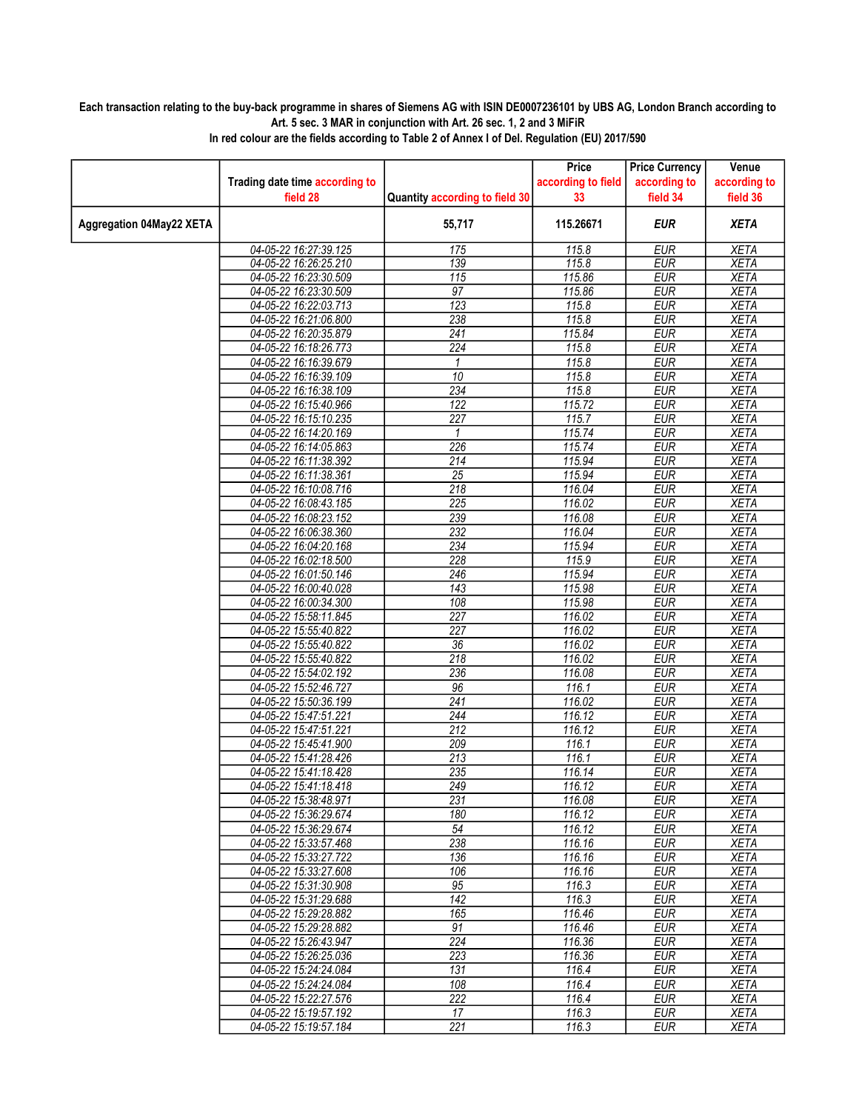## Each transaction relating to the buy-back programme in shares of Siemens AG with ISIN DE0007236101 by UBS AG, London Branch according to Art. 5 sec. 3 MAR in conjunction with Art. 26 sec. 1, 2 and 3 MiFiR

|                          |                                                |                                | Price              | <b>Price Currency</b>    | Venue                      |
|--------------------------|------------------------------------------------|--------------------------------|--------------------|--------------------------|----------------------------|
|                          | Trading date time according to                 |                                | according to field | according to             | according to               |
|                          | field 28                                       | Quantity according to field 30 | 33                 | field 34                 | field 36                   |
| Aggregation 04May22 XETA |                                                | 55,717                         | 115.26671          | <b>EUR</b>               | <b>XETA</b>                |
|                          | 04-05-22 16:27:39.125                          | 175                            | 115.8              | <b>EUR</b>               | <b>XETA</b>                |
|                          | 04-05-22 16:26:25.210                          | 139                            | 115.8              | <b>EUR</b>               | <b>XETA</b>                |
|                          | 04-05-22 16:23:30.509                          | 115                            | 115.86             | <b>EUR</b>               | <b>XETA</b>                |
|                          | 04-05-22 16:23:30.509                          | 97                             | 115.86             | <b>EUR</b>               | <b>XETA</b>                |
|                          | 04-05-22 16:22:03.713                          | 123                            | 115.8              | <b>EUR</b>               | <b>XETA</b>                |
|                          | 04-05-22 16:21:06.800                          | 238                            | 115.8              | <b>EUR</b>               | <b>XETA</b>                |
|                          | 04-05-22 16:20:35.879                          | $\overline{241}$               | 115.84             | <b>EUR</b>               | <b>XETA</b>                |
|                          | 04-05-22 16:18:26.773                          | $\overline{224}$               | 115.8              | <b>EUR</b>               | <b>XETA</b>                |
|                          | 04-05-22 16:16:39.679                          | 1                              | 115.8              | <b>EUR</b>               | <b>XETA</b>                |
|                          | 04-05-22 16:16:39.109                          | 10                             | 115.8              | <b>EUR</b>               | <b>XETA</b>                |
|                          | 04-05-22 16:16:38.109                          | 234                            | 115.8              | <b>EUR</b>               | <b>XETA</b>                |
|                          | 04-05-22 16:15:40.966                          | 122                            | 115.72             | <b>EUR</b>               | <b>XETA</b>                |
|                          | 04-05-22 16:15:10.235                          | 227<br>$\mathbf{1}$            | 115.7<br>115.74    | <b>EUR</b><br><b>EUR</b> | <b>XETA</b><br><b>XETA</b> |
|                          | 04-05-22 16:14:20.169<br>04-05-22 16:14:05.863 | 226                            | 115.74             | <b>EUR</b>               | <b>XETA</b>                |
|                          | 04-05-22 16:11:38.392                          | 214                            | 115.94             | <b>EUR</b>               | <b>XETA</b>                |
|                          | 04-05-22 16:11:38.361                          | $\overline{25}$                | 115.94             | <b>EUR</b>               | <b>XETA</b>                |
|                          | 04-05-22 16:10:08.716                          | $\overline{218}$               | 116.04             | <b>EUR</b>               | <b>XETA</b>                |
|                          | 04-05-22 16:08:43.185                          | 225                            | 116.02             | <b>EUR</b>               | <b>XETA</b>                |
|                          | 04-05-22 16:08:23.152                          | 239                            | 116.08             | <b>EUR</b>               | <b>XETA</b>                |
|                          | 04-05-22 16:06:38.360                          | 232                            | 116.04             | EUR                      | <b>XETA</b>                |
|                          | 04-05-22 16:04:20.168                          | 234                            | 115.94             | <b>EUR</b>               | <b>XETA</b>                |
|                          | 04-05-22 16:02:18.500                          | 228                            | 115.9              | <b>EUR</b>               | <b>XETA</b>                |
|                          | 04-05-22 16:01:50.146                          | 246                            | 115.94             | <b>EUR</b>               | <b>XETA</b>                |
|                          | 04-05-22 16:00:40.028                          | 143                            | 115.98             | <b>EUR</b>               | <b>XETA</b>                |
|                          | 04-05-22 16:00:34.300                          | 108                            | 115.98             | <b>EUR</b>               | <b>XETA</b>                |
|                          | 04-05-22 15:58:11.845                          | $\overline{227}$               | 116.02             | <b>EUR</b>               | <b>XETA</b>                |
|                          | 04-05-22 15:55:40.822                          | $\overline{227}$               | 116.02             | <b>EUR</b>               | <b>XETA</b>                |
|                          | 04-05-22 15:55:40.822                          | 36                             | 116.02             | <b>EUR</b>               | <b>XETA</b>                |
|                          | 04-05-22 15:55:40.822                          | 218                            | 116.02             | <b>EUR</b>               | <b>XETA</b>                |
|                          | 04-05-22 15:54:02.192                          | 236                            | 116.08             | <b>EUR</b>               | <b>XETA</b>                |
|                          | 04-05-22 15:52:46.727                          | 96                             | 116.1              | <b>EUR</b>               | <b>XETA</b>                |
|                          | 04-05-22 15:50:36.199                          | 241                            | 116.02             | <b>EUR</b>               | <b>XETA</b>                |
|                          | 04-05-22 15:47:51.221                          | $\overline{244}$               | 116.12             | <b>EUR</b>               | <b>XETA</b>                |
|                          | 04-05-22 15:47:51.221                          | 212                            | 116.12             | <b>EUR</b>               | <b>XETA</b>                |
|                          | 04-05-22 15:45:41.900                          | 209                            | 116.1              | <b>EUR</b>               | <b>XETA</b>                |
|                          | 04-05-22 15:41:28.426                          | 213                            | 116.1              | <b>EUR</b>               | <b>XETA</b>                |
|                          | 04-05-22 15:41:18.428                          | 235                            | 116.14             | <b>EUR</b>               | <b>XETA</b>                |
|                          | 04-05-22 15:41:18.418<br>04-05-22 15:38:48.971 | 249                            | 116.12<br>116.08   | <b>EUR</b>               | <b>XETA</b>                |
|                          |                                                | 231                            |                    | EUR                      | <b>XETA</b>                |
|                          | 04-05-22 15:36:29.674<br>04-05-22 15:36:29.674 | 180<br>54                      | 116.12<br>116.12   | EUR<br><b>EUR</b>        | XETA<br><b>XETA</b>        |
|                          | 04-05-22 15:33:57.468                          | 238                            | 116.16             | EUR                      | <b>XETA</b>                |
|                          | 04-05-22 15:33:27.722                          | 136                            | 116.16             | <b>EUR</b>               | XETA                       |
|                          | 04-05-22 15:33:27.608                          | 106                            | 116.16             | <b>EUR</b>               | <b>XETA</b>                |
|                          | 04-05-22 15:31:30.908                          | 95                             | 116.3              | <b>EUR</b>               | <b>XETA</b>                |
|                          | 04-05-22 15:31:29.688                          | 142                            | 116.3              | EUR                      | XETA                       |
|                          | 04-05-22 15:29:28.882                          | 165                            | 116.46             | <b>EUR</b>               | <b>XETA</b>                |
|                          | 04-05-22 15:29:28.882                          | $\overline{91}$                | 116.46             | $E\overline{UR}$         | <b>XETA</b>                |
|                          | 04-05-22 15:26:43.947                          | $\overline{224}$               | 116.36             | EUR                      | <b>XETA</b>                |
|                          | 04-05-22 15:26:25.036                          | 223                            | 116.36             | <b>EUR</b>               | <b>XETA</b>                |
|                          | 04-05-22 15:24:24.084                          | 131                            | 116.4              | <b>EUR</b>               | <b>XETA</b>                |
|                          | 04-05-22 15:24:24.084                          | 108                            | 116.4              | EUR                      | <b>XETA</b>                |
|                          | 04-05-22 15:22:27.576                          | 222                            | 116.4              | EUR                      | <b>XETA</b>                |
|                          | 04-05-22 15:19:57.192                          | 17                             | 116.3              | <b>EUR</b>               | <b>XETA</b>                |
|                          | 04-05-22 15:19:57.184                          | 221                            | 116.3              | EUR                      | XETA                       |

In red colour are the fields according to Table 2 of Annex I of Del. Regulation (EU) 2017/590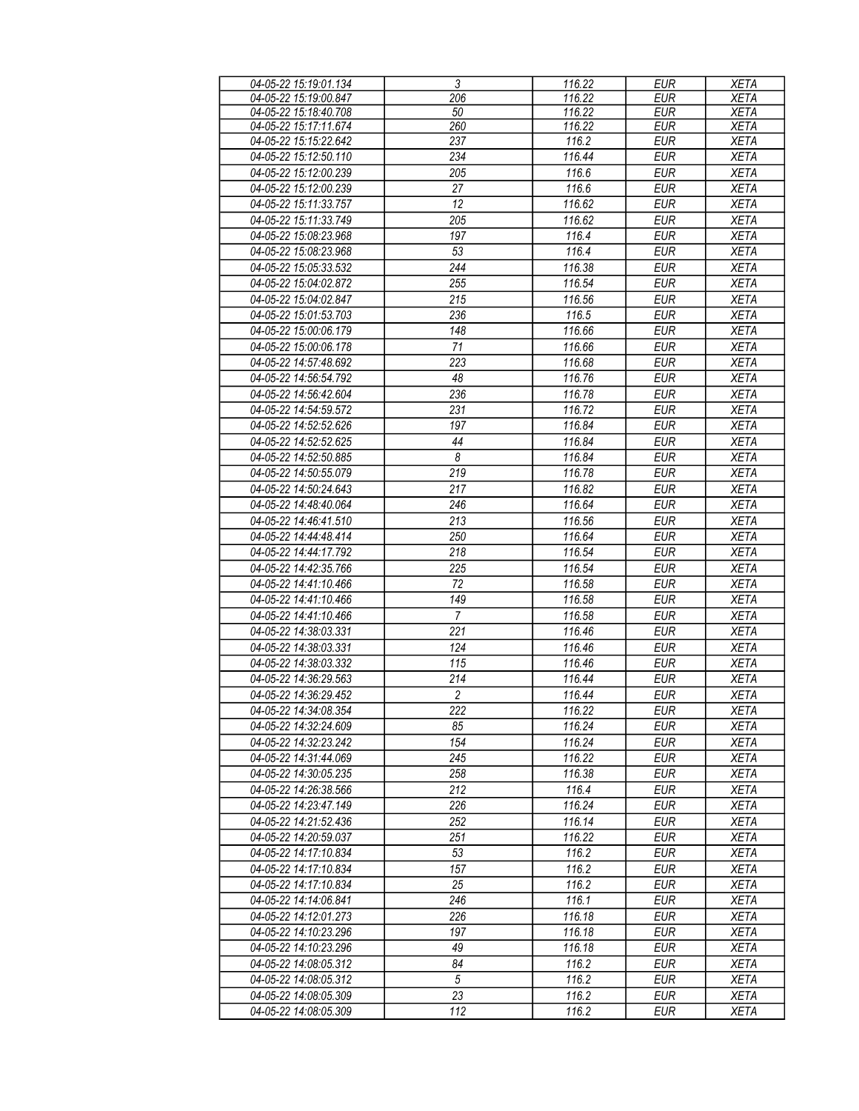| 04-05-22 15:19:01.134 | $\overline{3}$   | 116.22 | <b>EUR</b> | <b>XETA</b> |
|-----------------------|------------------|--------|------------|-------------|
| 04-05-22 15:19:00.847 | 206              | 116.22 | <b>EUR</b> | <b>XETA</b> |
| 04-05-22 15:18:40.708 | 50               | 116.22 | <b>EUR</b> | <b>XETA</b> |
| 04-05-22 15:17:11.674 | 260              | 116.22 | <b>EUR</b> | <b>XETA</b> |
| 04-05-22 15:15:22.642 | 237              | 116.2  | <b>EUR</b> | <b>XETA</b> |
| 04-05-22 15:12:50.110 | 234              | 116.44 | <b>EUR</b> | <b>XETA</b> |
|                       | 205              | 116.6  |            |             |
| 04-05-22 15:12:00.239 |                  |        | <b>EUR</b> | <b>XETA</b> |
| 04-05-22 15:12:00.239 | 27               | 116.6  | <b>EUR</b> | <b>XETA</b> |
| 04-05-22 15:11:33.757 | 12               | 116.62 | <b>EUR</b> | <b>XETA</b> |
| 04-05-22 15:11:33.749 | 205              | 116.62 | <b>EUR</b> | <b>XETA</b> |
| 04-05-22 15:08:23.968 | 197              | 116.4  | <b>EUR</b> | <b>XETA</b> |
| 04-05-22 15:08:23.968 | 53               | 116.4  | <b>EUR</b> | <b>XETA</b> |
| 04-05-22 15:05:33.532 | $\overline{244}$ | 116.38 | <b>EUR</b> | <b>XETA</b> |
| 04-05-22 15:04:02.872 | 255              | 116.54 | <b>EUR</b> | <b>XETA</b> |
| 04-05-22 15:04:02.847 | 215              | 116.56 | <b>EUR</b> | <b>XETA</b> |
| 04-05-22 15:01:53.703 | 236              | 116.5  | <b>EUR</b> | <b>XETA</b> |
|                       |                  |        | <b>EUR</b> |             |
| 04-05-22 15:00:06.179 | 148              | 116.66 |            | <b>XETA</b> |
| 04-05-22 15:00:06.178 | 71               | 116.66 | <b>EUR</b> | <b>XETA</b> |
| 04-05-22 14:57:48.692 | 223              | 116.68 | <b>EUR</b> | <b>XETA</b> |
| 04-05-22 14:56:54.792 | 48               | 116.76 | <b>EUR</b> | <b>XETA</b> |
| 04-05-22 14:56:42.604 | 236              | 116.78 | <b>EUR</b> | <b>XETA</b> |
| 04-05-22 14:54:59.572 | 231              | 116.72 | <b>EUR</b> | <b>XETA</b> |
| 04-05-22 14:52:52.626 | 197              | 116.84 | <b>EUR</b> | <b>XETA</b> |
| 04-05-22 14:52:52.625 | 44               | 116.84 | <b>EUR</b> | <b>XETA</b> |
| 04-05-22 14:52:50.885 | 8                | 116.84 | <b>EUR</b> | <b>XETA</b> |
| 04-05-22 14:50:55.079 | 219              | 116.78 | <b>EUR</b> | <b>XETA</b> |
| 04-05-22 14:50:24.643 | 217              | 116.82 | <b>EUR</b> | <b>XETA</b> |
|                       |                  |        |            |             |
| 04-05-22 14:48:40.064 | 246              | 116.64 | <b>EUR</b> | <b>XETA</b> |
| 04-05-22 14:46:41.510 | 213              | 116.56 | <b>EUR</b> | <b>XETA</b> |
| 04-05-22 14:44:48.414 | 250              | 116.64 | <b>EUR</b> | <b>XETA</b> |
| 04-05-22 14:44:17.792 | 218              | 116.54 | <b>EUR</b> | <b>XETA</b> |
| 04-05-22 14:42:35.766 | 225              | 116.54 | <b>EUR</b> | <b>XETA</b> |
| 04-05-22 14:41:10.466 | 72               | 116.58 | <b>EUR</b> | <b>XETA</b> |
| 04-05-22 14:41:10.466 | 149              | 116.58 | <b>EUR</b> | <b>XETA</b> |
| 04-05-22 14:41:10.466 | $\overline{7}$   | 116.58 | <b>EUR</b> | <b>XETA</b> |
| 04-05-22 14:38:03.331 | 221              | 116.46 | <b>EUR</b> | <b>XETA</b> |
| 04-05-22 14:38:03.331 | 124              | 116.46 | <b>EUR</b> | <b>XETA</b> |
| 04-05-22 14:38:03.332 | 115              | 116.46 | <b>EUR</b> | <b>XETA</b> |
| 04-05-22 14:36:29.563 | 214              | 116.44 | <b>EUR</b> | <b>XETA</b> |
|                       |                  |        |            |             |
| 04-05-22 14:36:29.452 | $\overline{c}$   | 116.44 | <b>EUR</b> | <b>XETA</b> |
| 04-05-22 14:34:08.354 | 222              | 116.22 | <b>EUR</b> | <b>XETA</b> |
| 04-05-22 14:32:24.609 | 85               | 116.24 | <b>EUR</b> | <b>XETA</b> |
| 04-05-22 14:32:23.242 | 154              | 116.24 | EUR        | XETA        |
| 04-05-22 14:31:44.069 | 245              | 116.22 | <b>EUR</b> | <b>XETA</b> |
| 04-05-22 14:30:05.235 | 258              | 116.38 | <b>EUR</b> | XETA        |
| 04-05-22 14:26:38.566 | 212              | 116.4  | <b>EUR</b> | XETA        |
| 04-05-22 14:23:47.149 | 226              | 116.24 | EUR        | XETA        |
| 04-05-22 14:21:52.436 | 252              | 116.14 | <b>EUR</b> | <b>XETA</b> |
| 04-05-22 14:20:59.037 | 251              | 116.22 | <b>EUR</b> | <b>XETA</b> |
| 04-05-22 14:17:10.834 | 53               | 116.2  | <b>EUR</b> | <b>XETA</b> |
| 04-05-22 14:17:10.834 | 157              | 116.2  | EUR        | <b>XETA</b> |
| 04-05-22 14:17:10.834 | 25               | 116.2  | <b>EUR</b> | XETA        |
|                       | 246              | 116.1  | <b>EUR</b> |             |
| 04-05-22 14:14:06.841 |                  |        |            | XETA        |
| 04-05-22 14:12:01.273 | 226              | 116.18 | <b>EUR</b> | XETA        |
| 04-05-22 14:10:23.296 | 197              | 116.18 | <b>EUR</b> | <b>XETA</b> |
| 04-05-22 14:10:23.296 | 49               | 116.18 | <b>EUR</b> | <b>XETA</b> |
| 04-05-22 14:08:05.312 | 84               | 116.2  | <b>EUR</b> | <b>XETA</b> |
| 04-05-22 14:08:05.312 | $\sqrt{5}$       | 116.2  | <b>EUR</b> | <b>XETA</b> |
| 04-05-22 14:08:05.309 | 23               | 116.2  | EUR        | <b>XETA</b> |
| 04-05-22 14:08:05.309 | 112              | 116.2  | EUR        | <b>XETA</b> |
|                       |                  |        |            |             |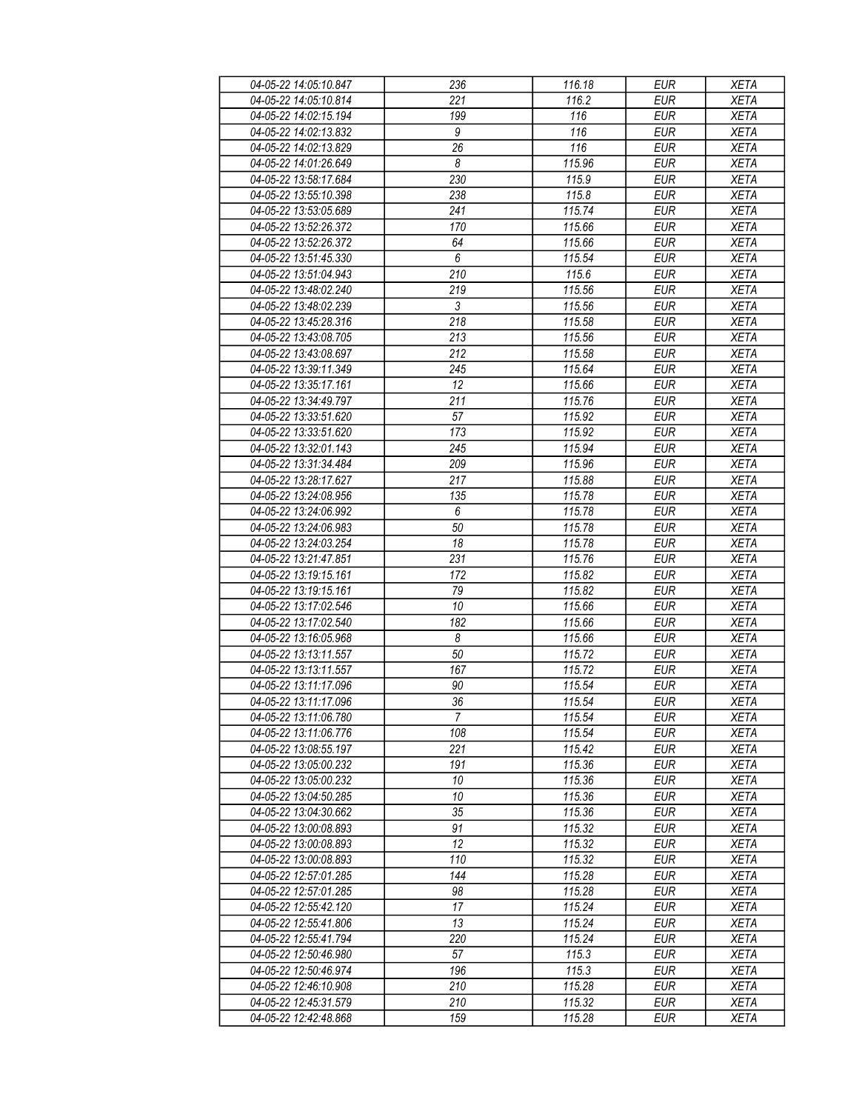| 04-05-22 14:05:10.847 | 236                   | 116.18           | <b>EUR</b> | <b>XETA</b> |
|-----------------------|-----------------------|------------------|------------|-------------|
| 04-05-22 14:05:10.814 | 221                   | 116.2            | <b>EUR</b> | <b>XETA</b> |
| 04-05-22 14:02:15.194 | $\overline{199}$      | 116              | <b>EUR</b> | <b>XETA</b> |
| 04-05-22 14:02:13.832 | $\boldsymbol{9}$      | 116              | <b>EUR</b> | <b>XETA</b> |
|                       |                       | $\overline{116}$ |            |             |
| 04-05-22 14:02:13.829 | 26                    |                  | <b>EUR</b> | <b>XETA</b> |
| 04-05-22 14:01:26.649 | $\boldsymbol{\delta}$ | 115.96           | <b>EUR</b> | <b>XETA</b> |
| 04-05-22 13:58:17.684 | 230                   | 115.9            | <b>EUR</b> | <b>XETA</b> |
| 04-05-22 13:55:10.398 | 238                   | 115.8            | <b>EUR</b> | <b>XETA</b> |
| 04-05-22 13:53:05.689 | 241                   | 115.74           | <b>EUR</b> | <b>XETA</b> |
| 04-05-22 13:52:26.372 | 170                   | 115.66           | <b>EUR</b> | <b>XETA</b> |
| 04-05-22 13:52:26.372 | 64                    | 115.66           | <b>EUR</b> | <b>XETA</b> |
| 04-05-22 13:51:45.330 | $\boldsymbol{6}$      | 115.54           | <b>EUR</b> | <b>XETA</b> |
| 04-05-22 13:51:04.943 | 210                   | 115.6            | <b>EUR</b> | <b>XETA</b> |
| 04-05-22 13:48:02.240 | 219                   | 115.56           | <b>EUR</b> | <b>XETA</b> |
|                       | $\mathfrak{Z}$        |                  |            |             |
| 04-05-22 13:48:02.239 |                       | 115.56           | <b>EUR</b> | <b>XETA</b> |
| 04-05-22 13:45:28.316 | 218                   | 115.58           | <b>EUR</b> | <b>XETA</b> |
| 04-05-22 13:43:08.705 | 213                   | 115.56           | <b>EUR</b> | <b>XETA</b> |
| 04-05-22 13:43:08.697 | 212                   | 115.58           | <b>EUR</b> | <b>XETA</b> |
| 04-05-22 13:39:11.349 | 245                   | 115.64           | <b>EUR</b> | <b>XETA</b> |
| 04-05-22 13:35:17.161 | 12                    | 115.66           | <b>EUR</b> | <b>XETA</b> |
| 04-05-22 13:34:49.797 | 211                   | 115.76           | <b>EUR</b> | <b>XETA</b> |
| 04-05-22 13:33:51.620 | 57                    | 115.92           | <b>EUR</b> | <b>XETA</b> |
| 04-05-22 13:33:51.620 | 173                   | 115.92           | <b>EUR</b> | <b>XETA</b> |
| 04-05-22 13:32:01.143 | 245                   | 115.94           | <b>EUR</b> | <b>XETA</b> |
| 04-05-22 13:31:34.484 | 209                   | 115.96           | <b>EUR</b> | <b>XETA</b> |
| 04-05-22 13:28:17.627 | 217                   | 115.88           |            |             |
|                       |                       |                  | <b>EUR</b> | <b>XETA</b> |
| 04-05-22 13:24:08.956 | 135                   | 115.78           | <b>EUR</b> | <b>XETA</b> |
| 04-05-22 13:24:06.992 | 6                     | 115.78           | <b>EUR</b> | <b>XETA</b> |
| 04-05-22 13:24:06.983 | 50                    | 115.78           | <b>EUR</b> | <b>XETA</b> |
| 04-05-22 13:24:03.254 | 18                    | 115.78           | <b>EUR</b> | <b>XETA</b> |
| 04-05-22 13:21:47.851 | 231                   | 115.76           | <b>EUR</b> | <b>XETA</b> |
| 04-05-22 13:19:15.161 | 172                   | 115.82           | <b>EUR</b> | <b>XETA</b> |
| 04-05-22 13:19:15.161 | 79                    | 115.82           | <b>EUR</b> | <b>XETA</b> |
| 04-05-22 13:17:02.546 | 10                    | 115.66           | <b>EUR</b> | <b>XETA</b> |
| 04-05-22 13:17:02.540 | 182                   | 115.66           | <b>EUR</b> | <b>XETA</b> |
| 04-05-22 13:16:05.968 | 8                     | 115.66           | <b>EUR</b> | <b>XETA</b> |
| 04-05-22 13:13:11.557 | 50                    | 115.72           | <b>EUR</b> | <b>XETA</b> |
| 04-05-22 13:13:11.557 | 167                   | 115.72           | <b>EUR</b> | <b>XETA</b> |
|                       |                       |                  |            |             |
| 04-05-22 13:11:17.096 | 90                    | 115.54           | <b>EUR</b> | <b>XETA</b> |
| 04-05-22 13:11:17.096 | $\frac{36}{5}$        | 115.54           | <b>EUR</b> | <b>XETA</b> |
| 04-05-22 13:11:06.780 | 7                     | 115.54           | EUR        | XETA        |
| 04-05-22 13:11:06.776 | 108                   | 115.54           | <b>EUR</b> | <b>XETA</b> |
| 04-05-22 13:08:55.197 | 221                   | 115.42           | <b>EUR</b> | <b>XETA</b> |
| 04-05-22 13:05:00.232 | 191                   | 115.36           | <b>EUR</b> | <b>XETA</b> |
| 04-05-22 13:05:00.232 | 10                    | 115.36           | <b>EUR</b> | <b>XETA</b> |
| 04-05-22 13:04:50.285 | 10                    | 115.36           | <b>EUR</b> | <b>XETA</b> |
| 04-05-22 13:04:30.662 | 35                    | 115.36           | <b>EUR</b> | <b>XETA</b> |
| 04-05-22 13:00:08.893 | 91                    | 115.32           | <b>EUR</b> | <b>XETA</b> |
| 04-05-22 13:00:08.893 | 12                    | 115.32           | <b>EUR</b> | <b>XETA</b> |
| 04-05-22 13:00:08.893 | 110                   | 115.32           |            |             |
|                       |                       |                  | EUR        | <b>XETA</b> |
| 04-05-22 12:57:01.285 | 144                   | 115.28           | <b>EUR</b> | <b>XETA</b> |
| 04-05-22 12:57:01.285 | 98                    | 115.28           | <b>EUR</b> | <b>XETA</b> |
| 04-05-22 12:55:42.120 | 17                    | 115.24           | <b>EUR</b> | <b>XETA</b> |
| 04-05-22 12:55:41.806 | 13                    | 115.24           | EUR        | <b>XETA</b> |
| 04-05-22 12:55:41.794 | 220                   | 115.24           | <b>EUR</b> | <b>XETA</b> |
| 04-05-22 12:50:46.980 | 57                    | 115.3            | <b>EUR</b> | <b>XETA</b> |
| 04-05-22 12:50:46.974 | 196                   | 115.3            | <b>EUR</b> | <b>XETA</b> |
| 04-05-22 12:46:10.908 | 210                   | 115.28           | EUR        | XETA        |
| 04-05-22 12:45:31.579 | 210                   | 115.32           | <b>EUR</b> | <b>XETA</b> |
| 04-05-22 12:42:48.868 | 159                   | 115.28           | EUR        | <b>XETA</b> |
|                       |                       |                  |            |             |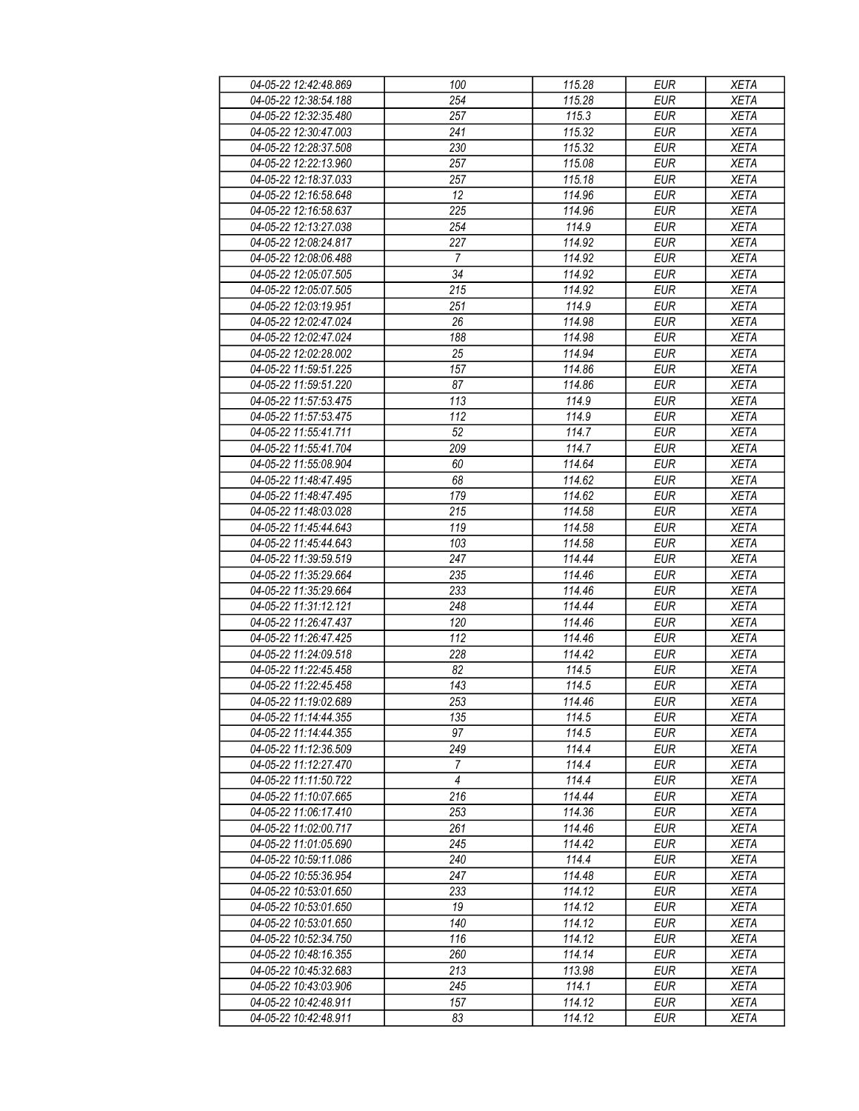| 04-05-22 12:42:48.869 | 100              | 115.28 | <b>EUR</b> | <b>XETA</b> |
|-----------------------|------------------|--------|------------|-------------|
| 04-05-22 12:38:54.188 | 254              | 115.28 | <b>EUR</b> | <b>XETA</b> |
| 04-05-22 12:32:35.480 | $\overline{257}$ | 115.3  | <b>EUR</b> | <b>XETA</b> |
| 04-05-22 12:30:47.003 | 241              | 115.32 | <b>EUR</b> | <b>XETA</b> |
| 04-05-22 12:28:37.508 | 230              | 115.32 | <b>EUR</b> | <b>XETA</b> |
| 04-05-22 12:22:13.960 | 257              | 115.08 | <b>EUR</b> | <b>XETA</b> |
|                       |                  |        | <b>EUR</b> |             |
| 04-05-22 12:18:37.033 | 257              | 115.18 |            | <b>XETA</b> |
| 04-05-22 12:16:58.648 | 12               | 114.96 | <b>EUR</b> | <b>XETA</b> |
| 04-05-22 12:16:58.637 | 225              | 114.96 | <b>EUR</b> | <b>XETA</b> |
| 04-05-22 12:13:27.038 | 254              | 114.9  | <b>EUR</b> | <b>XETA</b> |
| 04-05-22 12:08:24.817 | 227              | 114.92 | <b>EUR</b> | <b>XETA</b> |
| 04-05-22 12:08:06.488 | $\overline{7}$   | 114.92 | <b>EUR</b> | <b>XETA</b> |
| 04-05-22 12:05:07.505 | 34               | 114.92 | <b>EUR</b> | <b>XETA</b> |
| 04-05-22 12:05:07.505 | 215              | 114.92 | <b>EUR</b> | <b>XETA</b> |
| 04-05-22 12:03:19.951 | 251              | 114.9  | <b>EUR</b> | <b>XETA</b> |
| 04-05-22 12:02:47.024 | 26               | 114.98 | <b>EUR</b> | <b>XETA</b> |
| 04-05-22 12:02:47.024 | 188              | 114.98 | <b>EUR</b> | <b>XETA</b> |
| 04-05-22 12:02:28.002 | 25               | 114.94 | <b>EUR</b> | <b>XETA</b> |
| 04-05-22 11:59:51.225 | 157              | 114.86 | <b>EUR</b> | <b>XETA</b> |
| 04-05-22 11:59:51.220 | 87               | 114.86 | <b>EUR</b> | <b>XETA</b> |
| 04-05-22 11:57:53.475 | 113              | 114.9  | <b>EUR</b> | <b>XETA</b> |
| 04-05-22 11:57:53.475 | 112              | 114.9  | <b>EUR</b> | <b>XETA</b> |
|                       |                  | 114.7  |            |             |
| 04-05-22 11:55:41.711 | 52               |        | <b>EUR</b> | <b>XETA</b> |
| 04-05-22 11:55:41.704 | 209              | 114.7  | <b>EUR</b> | <b>XETA</b> |
| 04-05-22 11:55:08.904 | 60               | 114.64 | <b>EUR</b> | <b>XETA</b> |
| 04-05-22 11:48:47.495 | 68               | 114.62 | <b>EUR</b> | <b>XETA</b> |
| 04-05-22 11:48:47.495 | 179              | 114.62 | <b>EUR</b> | <b>XETA</b> |
| 04-05-22 11:48:03.028 | $\overline{215}$ | 114.58 | <b>EUR</b> | <b>XETA</b> |
| 04-05-22 11:45:44.643 | 119              | 114.58 | <b>EUR</b> | <b>XETA</b> |
| 04-05-22 11:45:44.643 | 103              | 114.58 | <b>EUR</b> | <b>XETA</b> |
| 04-05-22 11:39:59.519 | 247              | 114.44 | <b>EUR</b> | <b>XETA</b> |
| 04-05-22 11:35:29.664 | 235              | 114.46 | <b>EUR</b> | <b>XETA</b> |
| 04-05-22 11:35:29.664 | 233              | 114.46 | <b>EUR</b> | <b>XETA</b> |
| 04-05-22 11:31:12.121 | 248              | 114.44 | <b>EUR</b> | <b>XETA</b> |
| 04-05-22 11:26:47.437 | 120              | 114.46 | <b>EUR</b> | <b>XETA</b> |
| 04-05-22 11:26:47.425 | 112              | 114.46 | <b>EUR</b> | <b>XETA</b> |
| 04-05-22 11:24:09.518 | 228              | 114.42 | <b>EUR</b> | <b>XETA</b> |
| 04-05-22 11:22:45.458 | 82               | 114.5  | <b>EUR</b> | <b>XETA</b> |
| 04-05-22 11:22:45.458 | 143              | 114.5  | <b>EUR</b> | <b>XETA</b> |
| 04-05-22 11:19:02.689 | 253              | 114.46 | <b>EUR</b> | <b>XETA</b> |
| 04-05-22 11:14:44.355 | 135              | 114.5  | EUR        | XETA        |
| 04-05-22 11:14:44.355 | 97               | 114.5  | <b>EUR</b> | <b>XETA</b> |
|                       |                  |        |            |             |
| 04-05-22 11:12:36.509 | 249              | 114.4  | <b>EUR</b> | <b>XETA</b> |
| 04-05-22 11:12:27.470 | 7                | 114.4  | <b>EUR</b> | <b>XETA</b> |
| 04-05-22 11:11:50.722 | $\overline{4}$   | 114.4  | <b>EUR</b> | <b>XETA</b> |
| 04-05-22 11:10:07.665 | 216              | 114.44 | <b>EUR</b> | <b>XETA</b> |
| 04-05-22 11:06:17.410 | 253              | 114.36 | <b>EUR</b> | <b>XETA</b> |
| 04-05-22 11:02:00.717 | 261              | 114.46 | <b>EUR</b> | <b>XETA</b> |
| 04-05-22 11:01:05.690 | 245              | 114.42 | <b>EUR</b> | <b>XETA</b> |
| 04-05-22 10:59:11.086 | 240              | 114.4  | EUR        | <b>XETA</b> |
| 04-05-22 10:55:36.954 | 247              | 114.48 | <b>EUR</b> | <b>XETA</b> |
| 04-05-22 10:53:01.650 | 233              | 114.12 | <b>EUR</b> | <b>XETA</b> |
| 04-05-22 10:53:01.650 | 19               | 114.12 | <b>EUR</b> | <b>XETA</b> |
| 04-05-22 10:53:01.650 | 140              | 114.12 | <b>EUR</b> | <b>XETA</b> |
| 04-05-22 10:52:34.750 | 116              | 114.12 | <b>EUR</b> | <b>XETA</b> |
| 04-05-22 10:48:16.355 | 260              | 114.14 | <b>EUR</b> | <b>XETA</b> |
| 04-05-22 10:45:32.683 | 213              | 113.98 | <b>EUR</b> | <b>XETA</b> |
| 04-05-22 10:43:03.906 | 245              | 114.1  | EUR        | XETA        |
| 04-05-22 10:42:48.911 | 157              | 114.12 | EUR        | <b>XETA</b> |
|                       | 83               |        |            |             |
| 04-05-22 10:42:48.911 |                  | 114.12 | EUR        | <b>XETA</b> |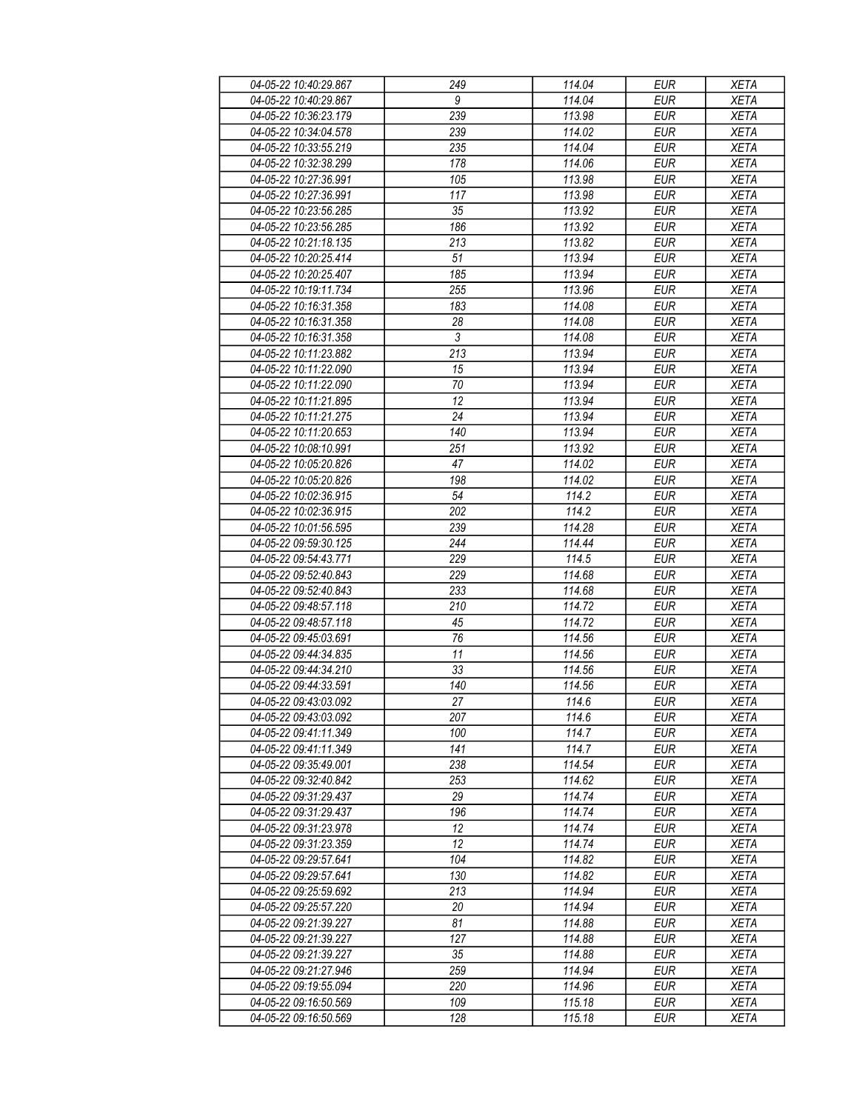| 04-05-22 10:40:29.867 | 249              | 114.04 | <b>EUR</b> | <b>XETA</b> |
|-----------------------|------------------|--------|------------|-------------|
| 04-05-22 10:40:29.867 | 9                | 114.04 | <b>EUR</b> | <b>XETA</b> |
| 04-05-22 10:36:23.179 | 239              | 113.98 | <b>EUR</b> | <b>XETA</b> |
| 04-05-22 10:34:04.578 | 239              | 114.02 | <b>EUR</b> | <b>XETA</b> |
|                       |                  |        |            |             |
| 04-05-22 10:33:55.219 | 235              | 114.04 | <b>EUR</b> | <b>XETA</b> |
| 04-05-22 10:32:38.299 | 178              | 114.06 | <b>EUR</b> | <b>XETA</b> |
| 04-05-22 10:27:36.991 | 105              | 113.98 | <b>EUR</b> | <b>XETA</b> |
| 04-05-22 10:27:36.991 | 117              | 113.98 | <b>EUR</b> | <b>XETA</b> |
| 04-05-22 10:23:56.285 | 35               | 113.92 | <b>EUR</b> | <b>XETA</b> |
| 04-05-22 10:23:56.285 | 186              | 113.92 | <b>EUR</b> | <b>XETA</b> |
| 04-05-22 10:21:18.135 | 213              | 113.82 | <b>EUR</b> | <b>XETA</b> |
| 04-05-22 10:20:25.414 | 51               | 113.94 | <b>EUR</b> | <b>XETA</b> |
| 04-05-22 10:20:25.407 | 185              | 113.94 | <b>EUR</b> | <b>XETA</b> |
| 04-05-22 10:19:11.734 | 255              | 113.96 | <b>EUR</b> | <b>XETA</b> |
| 04-05-22 10:16:31.358 | 183              | 114.08 | <b>EUR</b> | <b>XETA</b> |
| 04-05-22 10:16:31.358 |                  | 114.08 | <b>EUR</b> | <b>XETA</b> |
|                       | 28               |        |            |             |
| 04-05-22 10:16:31.358 | $\sqrt{3}$       | 114.08 | <b>EUR</b> | <b>XETA</b> |
| 04-05-22 10:11:23.882 | $\overline{213}$ | 113.94 | <b>EUR</b> | <b>XETA</b> |
| 04-05-22 10:11:22.090 | 15               | 113.94 | <b>EUR</b> | <b>XETA</b> |
| 04-05-22 10:11:22.090 | 70               | 113.94 | <b>EUR</b> | <b>XETA</b> |
| 04-05-22 10:11:21.895 | 12               | 113.94 | <b>EUR</b> | <b>XETA</b> |
| 04-05-22 10:11:21.275 | 24               | 113.94 | <b>EUR</b> | <b>XETA</b> |
| 04-05-22 10:11:20.653 | 140              | 113.94 | <b>EUR</b> | <b>XETA</b> |
| 04-05-22 10:08:10.991 | 251              | 113.92 | <b>EUR</b> | <b>XETA</b> |
| 04-05-22 10:05:20.826 | 47               | 114.02 | <b>EUR</b> | <b>XETA</b> |
| 04-05-22 10:05:20.826 | 198              | 114.02 | <b>EUR</b> | <b>XETA</b> |
| 04-05-22 10:02:36.915 | 54               | 114.2  | <b>EUR</b> | <b>XETA</b> |
|                       | $\overline{202}$ |        |            |             |
| 04-05-22 10:02:36.915 |                  | 114.2  | <b>EUR</b> | <b>XETA</b> |
| 04-05-22 10:01:56.595 | 239              | 114.28 | <b>EUR</b> | <b>XETA</b> |
| 04-05-22 09:59:30.125 | 244              | 114.44 | <b>EUR</b> | <b>XETA</b> |
| 04-05-22 09:54:43.771 | 229              | 114.5  | <b>EUR</b> | <b>XETA</b> |
| 04-05-22 09:52:40.843 | 229              | 114.68 | <b>EUR</b> | <b>XETA</b> |
| 04-05-22 09:52:40.843 | 233              | 114.68 | <b>EUR</b> | <b>XETA</b> |
| 04-05-22 09:48:57.118 | 210              | 114.72 | <b>EUR</b> | <b>XETA</b> |
| 04-05-22 09:48:57.118 | 45               | 114.72 | <b>EUR</b> | <b>XETA</b> |
| 04-05-22 09:45:03.691 | 76               | 114.56 | <b>EUR</b> | <b>XETA</b> |
| 04-05-22 09:44:34.835 | 11               | 114.56 | <b>EUR</b> | <b>XETA</b> |
| 04-05-22 09:44:34.210 | 33               | 114.56 | <b>EUR</b> | <b>XETA</b> |
| 04-05-22 09:44:33.591 | 140              | 114.56 | <b>EUR</b> | <b>XETA</b> |
| 04-05-22 09:43:03.092 | 27               | 114.6  | <b>EUR</b> | <b>XETA</b> |
| 04-05-22 09:43:03.092 | 207              | 114.6  | EUR        | XETA        |
|                       |                  |        |            |             |
| 04-05-22 09:41:11.349 | 100              | 114.7  | <b>EUR</b> | <b>XETA</b> |
| 04-05-22 09:41:11.349 | 141              | 114.7  | <b>EUR</b> | <b>XETA</b> |
| 04-05-22 09:35:49.001 | 238              | 114.54 | <b>EUR</b> | <b>XETA</b> |
| 04-05-22 09:32:40.842 | 253              | 114.62 | <b>EUR</b> | <b>XETA</b> |
| 04-05-22 09:31:29.437 | 29               | 114.74 | <b>EUR</b> | <b>XETA</b> |
| 04-05-22 09:31:29.437 | 196              | 114.74 | <b>EUR</b> | <b>XETA</b> |
| 04-05-22 09:31:23.978 | 12               | 114.74 | <b>EUR</b> | <b>XETA</b> |
| 04-05-22 09:31:23.359 | 12               | 114.74 | <b>EUR</b> | <b>XETA</b> |
| 04-05-22 09:29:57.641 | 104              | 114.82 | <b>EUR</b> | <b>XETA</b> |
| 04-05-22 09:29:57.641 | 130              | 114.82 | <b>EUR</b> | <b>XETA</b> |
| 04-05-22 09:25:59.692 | 213              | 114.94 | <b>EUR</b> | <b>XETA</b> |
| 04-05-22 09:25:57.220 | 20               | 114.94 | <b>EUR</b> | <b>XETA</b> |
| 04-05-22 09:21:39.227 | 81               | 114.88 | EUR        | <b>XETA</b> |
| 04-05-22 09:21:39.227 | 127              | 114.88 | <b>EUR</b> | <b>XETA</b> |
|                       |                  |        |            |             |
| 04-05-22 09:21:39.227 | 35               | 114.88 | <b>EUR</b> | <b>XETA</b> |
| 04-05-22 09:21:27.946 | 259              | 114.94 | <b>EUR</b> | <b>XETA</b> |
| 04-05-22 09:19:55.094 | 220              | 114.96 | EUR        | XETA        |
| 04-05-22 09:16:50.569 | 109              | 115.18 | EUR        | <b>XETA</b> |
| 04-05-22 09:16:50.569 | 128              | 115.18 | EUR        | <b>XETA</b> |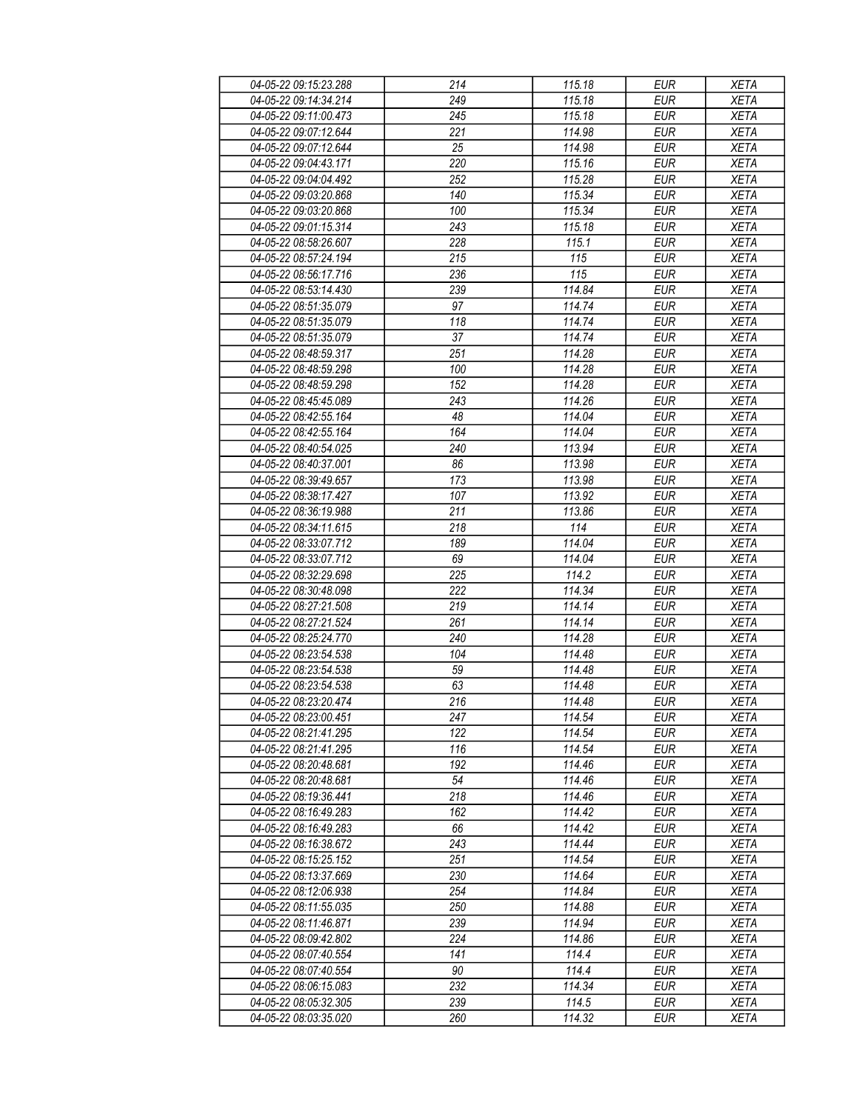| 04-05-22 09:15:23.288 | 214              | 115.18 | <b>EUR</b> | <b>XETA</b> |
|-----------------------|------------------|--------|------------|-------------|
| 04-05-22 09:14:34.214 | 249              | 115.18 | <b>EUR</b> | <b>XETA</b> |
| 04-05-22 09:11:00.473 | $\overline{245}$ | 115.18 | <b>EUR</b> | <b>XETA</b> |
| 04-05-22 09:07:12.644 | 221              | 114.98 | <b>EUR</b> | <b>XETA</b> |
| 04-05-22 09:07:12.644 | 25               | 114.98 | <b>EUR</b> | <b>XETA</b> |
| 04-05-22 09:04:43.171 | 220              | 115.16 | <b>EUR</b> | <b>XETA</b> |
| 04-05-22 09:04:04.492 |                  |        | <b>EUR</b> |             |
|                       | 252              | 115.28 |            | <b>XETA</b> |
| 04-05-22 09:03:20.868 | 140              | 115.34 | <b>EUR</b> | <b>XETA</b> |
| 04-05-22 09:03:20.868 | 100              | 115.34 | <b>EUR</b> | <b>XETA</b> |
| 04-05-22 09:01:15.314 | 243              | 115.18 | <b>EUR</b> | <b>XETA</b> |
| 04-05-22 08:58:26.607 | 228              | 115.1  | <b>EUR</b> | <b>XETA</b> |
| 04-05-22 08:57:24.194 | 215              | 115    | <b>EUR</b> | <b>XETA</b> |
| 04-05-22 08:56:17.716 | 236              | 115    | <b>EUR</b> | <b>XETA</b> |
| 04-05-22 08:53:14.430 | 239              | 114.84 | <b>EUR</b> | <b>XETA</b> |
| 04-05-22 08:51:35.079 | 97               | 114.74 | <b>EUR</b> | <b>XETA</b> |
| 04-05-22 08:51:35.079 | 118              | 114.74 | <b>EUR</b> | <b>XETA</b> |
| 04-05-22 08:51:35.079 | 37               | 114.74 | <b>EUR</b> | <b>XETA</b> |
| 04-05-22 08:48:59.317 | 251              | 114.28 | <b>EUR</b> | <b>XETA</b> |
| 04-05-22 08:48:59.298 | 100              | 114.28 | <b>EUR</b> | <b>XETA</b> |
| 04-05-22 08:48:59.298 | 152              | 114.28 | <b>EUR</b> | <b>XETA</b> |
| 04-05-22 08:45:45.089 | 243              | 114.26 | <b>EUR</b> | <b>XETA</b> |
| 04-05-22 08:42:55.164 | 48               | 114.04 | <b>EUR</b> | <b>XETA</b> |
| 04-05-22 08:42:55.164 | 164              | 114.04 | <b>EUR</b> | <b>XETA</b> |
| 04-05-22 08:40:54.025 | 240              | 113.94 | <b>EUR</b> | <b>XETA</b> |
| 04-05-22 08:40:37.001 | 86               | 113.98 | <b>EUR</b> | <b>XETA</b> |
|                       |                  |        |            | <b>XETA</b> |
| 04-05-22 08:39:49.657 | 173              | 113.98 | <b>EUR</b> |             |
| 04-05-22 08:38:17.427 | 107              | 113.92 | <b>EUR</b> | <b>XETA</b> |
| 04-05-22 08:36:19.988 | $\overline{211}$ | 113.86 | <b>EUR</b> | <b>XETA</b> |
| 04-05-22 08:34:11.615 | 218              | 114    | <b>EUR</b> | <b>XETA</b> |
| 04-05-22 08:33:07.712 | 189              | 114.04 | <b>EUR</b> | <b>XETA</b> |
| 04-05-22 08:33:07.712 | 69               | 114.04 | <b>EUR</b> | <b>XETA</b> |
| 04-05-22 08:32:29.698 | 225              | 114.2  | <b>EUR</b> | <b>XETA</b> |
| 04-05-22 08:30:48.098 | 222              | 114.34 | <b>EUR</b> | <b>XETA</b> |
| 04-05-22 08:27:21.508 | 219              | 114.14 | <b>EUR</b> | <b>XETA</b> |
| 04-05-22 08:27:21.524 | 261              | 114.14 | <b>EUR</b> | <b>XETA</b> |
| 04-05-22 08:25:24.770 | 240              | 114.28 | <b>EUR</b> | <b>XETA</b> |
| 04-05-22 08:23:54.538 | 104              | 114.48 | <b>EUR</b> | <b>XETA</b> |
| 04-05-22 08:23:54.538 | 59               | 114.48 | <b>EUR</b> | <b>XETA</b> |
| 04-05-22 08:23:54.538 | 63               | 114.48 | <b>EUR</b> | <b>XETA</b> |
| 04-05-22 08:23:20.474 | 216              | 114.48 | <b>EUR</b> | <b>XETA</b> |
| 04-05-22 08:23:00.451 | 247              | 114.54 | EUR        | XETA        |
| 04-05-22 08:21:41.295 | 122              | 114.54 | <b>EUR</b> | <b>XETA</b> |
| 04-05-22 08:21:41.295 | 116              | 114.54 | <b>EUR</b> | <b>XETA</b> |
| 04-05-22 08:20:48.681 | 192              | 114.46 | <b>EUR</b> | <b>XETA</b> |
| 04-05-22 08:20:48.681 | 54               | 114.46 | EUR        | <b>XETA</b> |
| 04-05-22 08:19:36.441 | 218              | 114.46 | <b>EUR</b> | <b>XETA</b> |
|                       |                  |        |            |             |
| 04-05-22 08:16:49.283 | 162              | 114.42 | <b>EUR</b> | <b>XETA</b> |
| 04-05-22 08:16:49.283 | 66               | 114.42 | <b>EUR</b> | <b>XETA</b> |
| 04-05-22 08:16:38.672 | 243              | 114.44 | <b>EUR</b> | <b>XETA</b> |
| 04-05-22 08:15:25.152 | 251              | 114.54 | EUR        | <b>XETA</b> |
| 04-05-22 08:13:37.669 | 230              | 114.64 | <b>EUR</b> | <b>XETA</b> |
| 04-05-22 08:12:06.938 | 254              | 114.84 | <b>EUR</b> | <b>XETA</b> |
| 04-05-22 08:11:55.035 | 250              | 114.88 | <b>EUR</b> | <b>XETA</b> |
| 04-05-22 08:11:46.871 | 239              | 114.94 | EUR        | <b>XETA</b> |
| 04-05-22 08:09:42.802 | 224              | 114.86 | EUR        | <b>XETA</b> |
| 04-05-22 08:07:40.554 | 141              | 114.4  | <b>EUR</b> | <b>XETA</b> |
| 04-05-22 08:07:40.554 | 90               | 114.4  | <b>EUR</b> | <b>XETA</b> |
| 04-05-22 08:06:15.083 | 232              | 114.34 | EUR        | XETA        |
| 04-05-22 08:05:32.305 | 239              | 114.5  | EUR        | <b>XETA</b> |
| 04-05-22 08:03:35.020 | 260              | 114.32 | EUR        | <b>XETA</b> |
|                       |                  |        |            |             |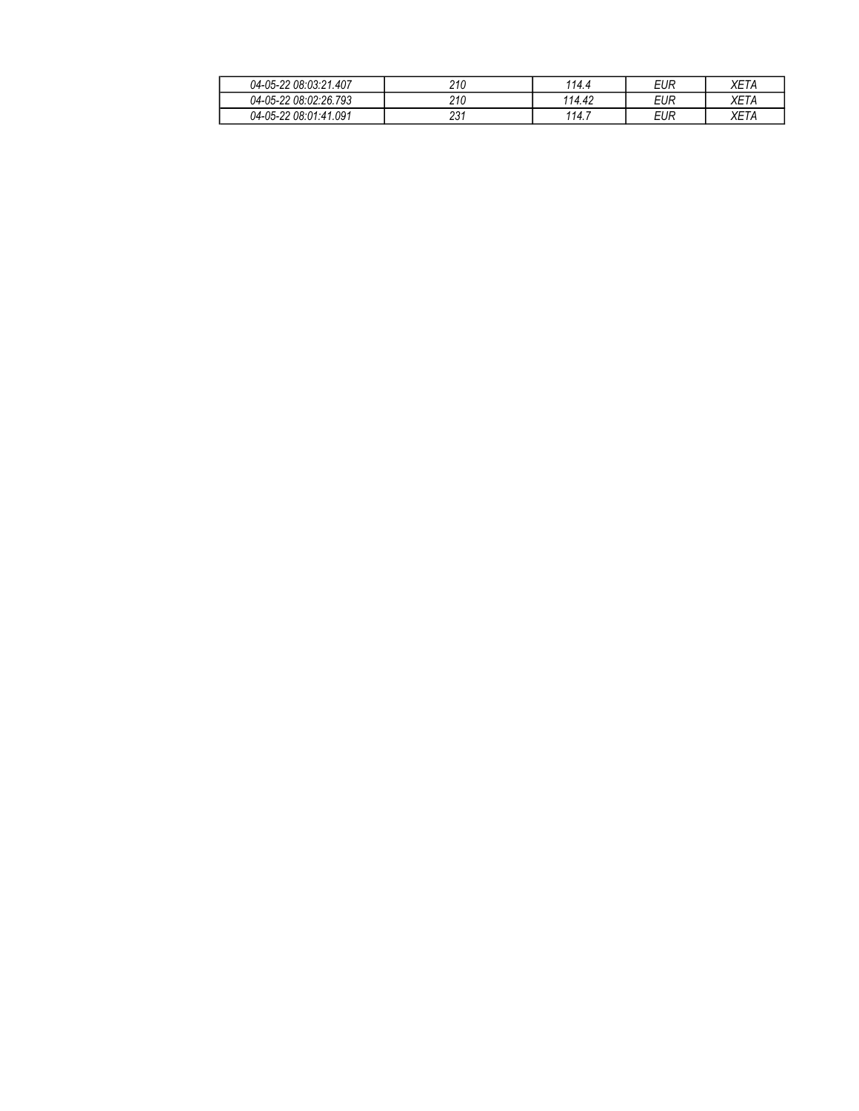| 04-05-22 08:03:21.407 | 210         | 114.4  | EUR | <b>XETA</b> |
|-----------------------|-------------|--------|-----|-------------|
| 04-05-22 08:02:26.793 | 210         | 114.42 | EUR | XET/        |
| 04-05-22 08:01:41.091 | 994<br>20 I | 114.7  | EUR | <b>YET</b>  |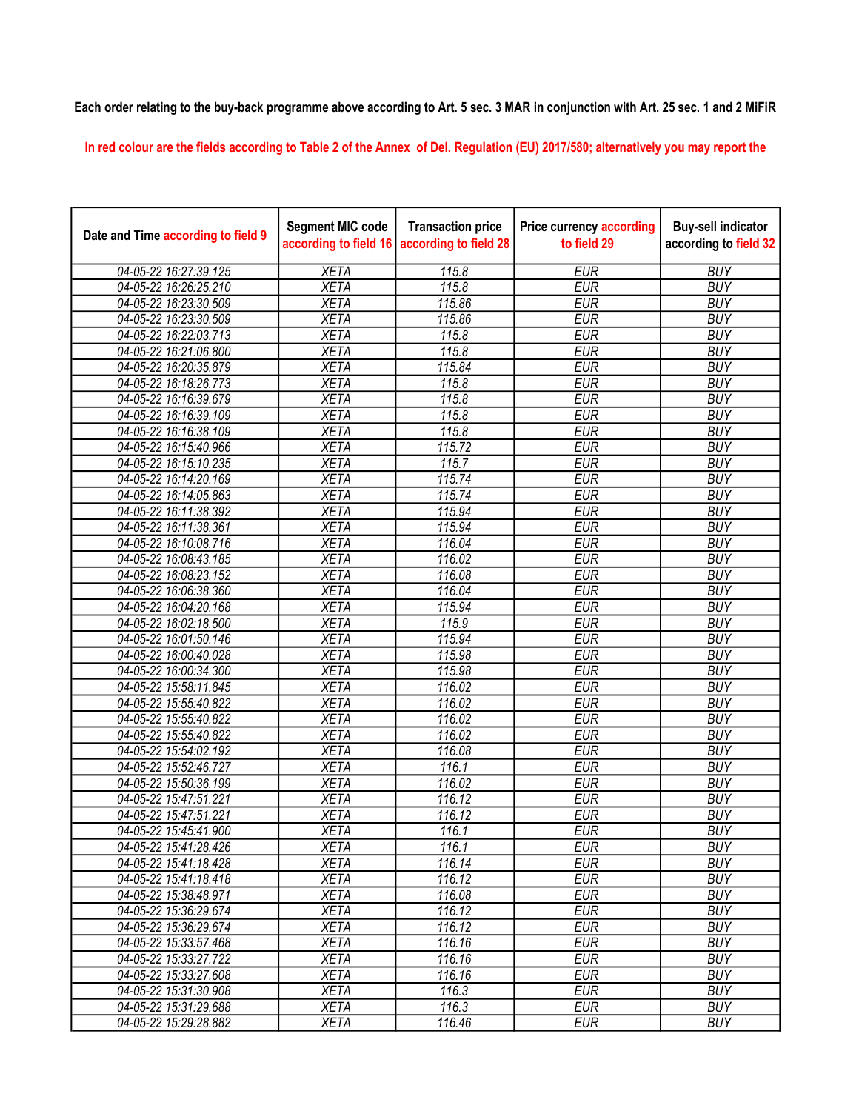## Each order relating to the buy-back programme above according to Art. 5 sec. 3 MAR in conjunction with Art. 25 sec. 1 and 2 MiFiR

In red colour are the fields according to Table 2 of the Annex of Del. Regulation (EU) 2017/580; alternatively you may report the

| Date and Time according to field 9 | <b>Segment MIC code</b><br>according to field 16 | <b>Transaction price</b><br>according to field 28 | <b>Price currency according</b><br>to field 29 | <b>Buy-sell indicator</b><br>according to field 32 |
|------------------------------------|--------------------------------------------------|---------------------------------------------------|------------------------------------------------|----------------------------------------------------|
| 04-05-22 16:27:39.125              | <b>XETA</b>                                      | 115.8                                             | <b>EUR</b>                                     | <b>BUY</b>                                         |
| 04-05-22 16:26:25.210              | <b>XETA</b>                                      | 115.8                                             | <b>EUR</b>                                     | <b>BUY</b>                                         |
| 04-05-22 16:23:30.509              | <b>XETA</b>                                      | 115.86                                            | <b>EUR</b>                                     | <b>BUY</b>                                         |
| 04-05-22 16:23:30.509              | <b>XETA</b>                                      | 115.86                                            | <b>EUR</b>                                     | <b>BUY</b>                                         |
| 04-05-22 16:22:03.713              | <b>XETA</b>                                      | 115.8                                             | <b>EUR</b>                                     | <b>BUY</b>                                         |
| 04-05-22 16:21:06.800              | <b>XETA</b>                                      | 115.8                                             | <b>EUR</b>                                     | <b>BUY</b>                                         |
| 04-05-22 16:20:35.879              | <b>XETA</b>                                      | 115.84                                            | <b>EUR</b>                                     | <b>BUY</b>                                         |
| 04-05-22 16:18:26.773              | <b>XETA</b>                                      | 115.8                                             | <b>EUR</b>                                     | <b>BUY</b>                                         |
| 04-05-22 16:16:39.679              | <b>XETA</b>                                      | 115.8                                             | <b>EUR</b>                                     | <b>BUY</b>                                         |
| 04-05-22 16:16:39.109              | <b>XETA</b>                                      | 115.8                                             | <b>EUR</b>                                     | <b>BUY</b>                                         |
| 04-05-22 16:16:38.109              | <b>XETA</b>                                      | 115.8                                             | <b>EUR</b>                                     | <b>BUY</b>                                         |
| 04-05-22 16:15:40.966              | <b>XETA</b>                                      | 115.72                                            | <b>EUR</b>                                     | <b>BUY</b>                                         |
| 04-05-22 16:15:10.235              | <b>XETA</b>                                      | 115.7                                             | <b>EUR</b>                                     | <b>BUY</b>                                         |
| 04-05-22 16:14:20.169              | <b>XETA</b>                                      | 115.74                                            | <b>EUR</b>                                     | <b>BUY</b>                                         |
| 04-05-22 16:14:05.863              | <b>XETA</b>                                      | 115.74                                            | <b>EUR</b>                                     | <b>BUY</b>                                         |
| 04-05-22 16:11:38.392              | <b>XETA</b>                                      | 115.94                                            | <b>EUR</b>                                     | <b>BUY</b>                                         |
| 04-05-22 16:11:38.361              | <b>XETA</b>                                      | 115.94                                            | <b>EUR</b>                                     | <b>BUY</b>                                         |
| 04-05-22 16:10:08.716              | <b>XETA</b>                                      | 116.04                                            | <b>EUR</b>                                     | <b>BUY</b>                                         |
| 04-05-22 16:08:43.185              | <b>XETA</b>                                      | 116.02                                            | <b>EUR</b>                                     | <b>BUY</b>                                         |
| 04-05-22 16:08:23.152              | <b>XETA</b>                                      | 116.08                                            | <b>EUR</b>                                     | <b>BUY</b>                                         |
| 04-05-22 16:06:38.360              | <b>XETA</b>                                      | 116.04                                            | <b>EUR</b>                                     | <b>BUY</b>                                         |
| 04-05-22 16:04:20.168              | <b>XETA</b>                                      | 115.94                                            | <b>EUR</b>                                     | <b>BUY</b>                                         |
| 04-05-22 16:02:18.500              | <b>XETA</b>                                      | 115.9                                             | <b>EUR</b>                                     | <b>BUY</b>                                         |
| 04-05-22 16:01:50.146              | <b>XETA</b>                                      | 115.94                                            | <b>EUR</b>                                     | <b>BUY</b>                                         |
| 04-05-22 16:00:40.028              | <b>XETA</b>                                      | 115.98                                            | <b>EUR</b>                                     | <b>BUY</b>                                         |
| 04-05-22 16:00:34.300              | <b>XETA</b>                                      | 115.98                                            | <b>EUR</b>                                     | <b>BUY</b>                                         |
| 04-05-22 15:58:11.845              | <b>XETA</b>                                      | 116.02                                            | <b>EUR</b>                                     | <b>BUY</b>                                         |
| 04-05-22 15:55:40.822              | <b>XETA</b>                                      | 116.02                                            | <b>EUR</b>                                     | <b>BUY</b>                                         |
| 04-05-22 15:55:40.822              | <b>XETA</b>                                      | 116.02                                            | <b>EUR</b>                                     | <b>BUY</b>                                         |
| 04-05-22 15:55:40.822              | <b>XETA</b>                                      | 116.02                                            | <b>EUR</b>                                     | <b>BUY</b>                                         |
| 04-05-22 15:54:02.192              | <b>XETA</b>                                      | 116.08                                            | <b>EUR</b>                                     | <b>BUY</b>                                         |
| 04-05-22 15:52:46.727              | <b>XETA</b>                                      | 116.1                                             | <b>EUR</b>                                     | <b>BUY</b>                                         |
| 04-05-22 15:50:36.199              | <b>XETA</b>                                      | 116.02                                            | <b>EUR</b>                                     | <b>BUY</b>                                         |
| 04-05-22 15:47:51.221              | <b>XETA</b>                                      | 116.12                                            | <b>EUR</b>                                     | <b>BUY</b>                                         |
| 04-05-22 15:47:51.221              | <b>XETA</b>                                      | 116.12                                            | <b>EUR</b>                                     | <b>BUY</b>                                         |
| 04-05-22 15:45:41.900              | <b>XETA</b>                                      | 116.1                                             | <b>EUR</b>                                     | <b>BUY</b>                                         |
| 04-05-22 15:41:28.426              | <b>XETA</b>                                      | 116.1                                             | <b>EUR</b>                                     | <b>BUY</b>                                         |
| 04-05-22 15:41:18.428              | <b>XETA</b>                                      | 116.14                                            | <b>EUR</b>                                     | <b>BUY</b>                                         |
| 04-05-22 15:41:18.418              | <b>XETA</b>                                      | 116.12                                            | <b>EUR</b>                                     | <b>BUY</b>                                         |
| 04-05-22 15:38:48.971              | <b>XETA</b>                                      | 116.08                                            | <b>EUR</b>                                     | <b>BUY</b>                                         |
| 04-05-22 15:36:29.674              | <b>XETA</b>                                      | 116.12                                            | <b>EUR</b>                                     | <b>BUY</b>                                         |
| 04-05-22 15:36:29.674              | <b>XETA</b>                                      | 116.12                                            | <b>EUR</b>                                     | <b>BUY</b>                                         |
| 04-05-22 15:33:57.468              | <b>XETA</b>                                      | 116.16                                            | <b>EUR</b>                                     | <b>BUY</b>                                         |
| 04-05-22 15:33:27.722              | <b>XETA</b>                                      | 116.16                                            | <b>EUR</b>                                     | <b>BUY</b>                                         |
| 04-05-22 15:33:27.608              | <b>XETA</b>                                      | 116.16                                            | <b>EUR</b>                                     | <b>BUY</b>                                         |
| 04-05-22 15:31:30.908              | <b>XETA</b>                                      | 116.3                                             | <b>EUR</b>                                     | <b>BUY</b>                                         |
| 04-05-22 15:31:29.688              | <b>XETA</b>                                      | 116.3                                             | <b>EUR</b>                                     | <b>BUY</b>                                         |
| 04-05-22 15:29:28.882              | <b>XETA</b>                                      | 116.46                                            | <b>EUR</b>                                     | <b>BUY</b>                                         |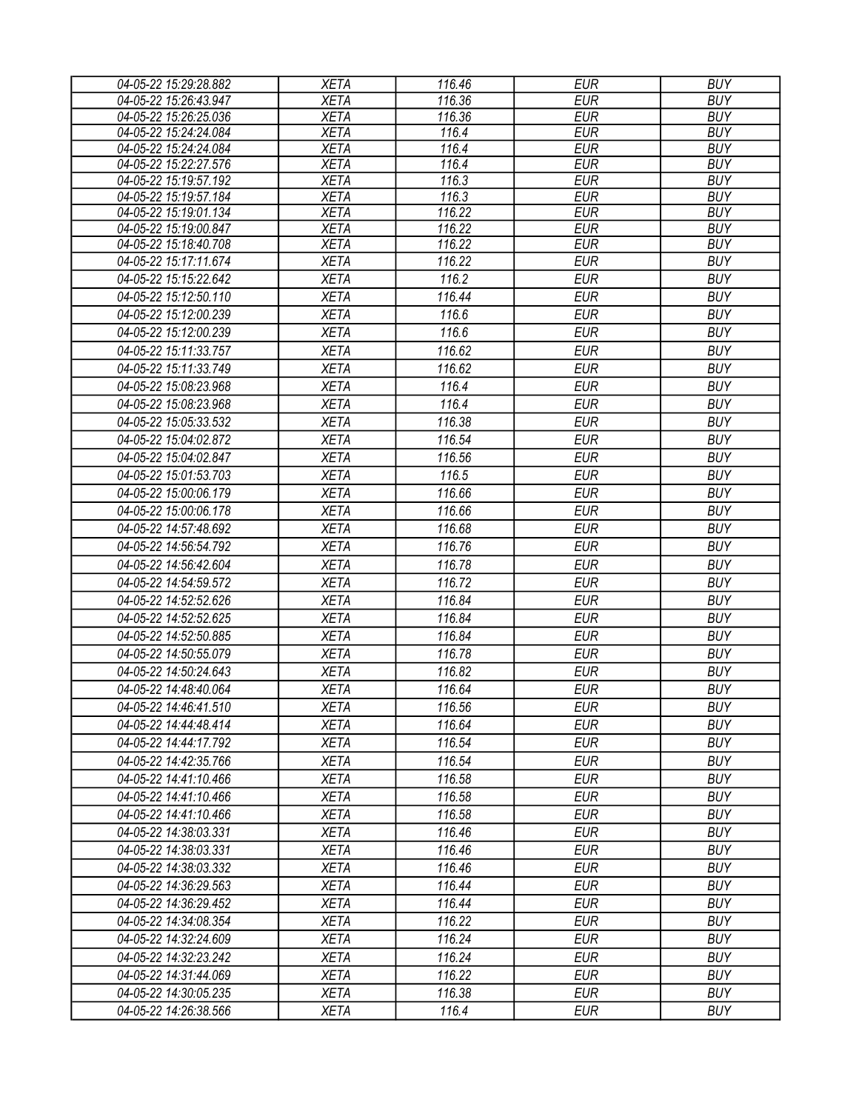| <b>XETA</b><br><b>EUR</b><br><b>BUY</b><br>04-05-22 15:26:43.947<br>116.36<br><b>EUR</b><br><b>BUY</b><br>04-05-22 15:26:25.036<br><b>XETA</b><br>116.36<br>04-05-22 15:24:24.084<br><b>XETA</b><br><b>EUR</b><br><b>BUY</b><br>116.4<br><b>XETA</b><br>04-05-22 15:24:24.084<br>116.4<br><b>EUR</b><br><b>BUY</b><br>04-05-22 15:22:27.576<br><b>XETA</b><br>116.4<br><b>EUR</b><br><b>BUY</b><br>04-05-22 15:19:57.192<br><b>EUR</b><br><b>XETA</b><br>116.3<br><b>BUY</b><br>04-05-22 15:19:57.184<br><b>EUR</b><br><b>XETA</b><br>116.3<br><b>BUY</b><br>04-05-22 15:19:01.134<br><b>XETA</b><br>116.22<br><b>EUR</b><br><b>BUY</b><br>116.22<br>04-05-22 15:19:00.847<br><b>XETA</b><br><b>EUR</b><br><b>BUY</b><br><b>XETA</b><br>116.22<br><b>EUR</b><br><b>BUY</b><br>04-05-22 15:18:40.708<br><b>EUR</b><br><b>XETA</b><br>116.22<br><b>BUY</b><br>04-05-22 15:17:11.674<br><b>XETA</b><br>116.2<br><b>EUR</b><br><b>BUY</b><br>04-05-22 15:15:22.642<br>04-05-22 15:12:50.110<br><b>XETA</b><br>116.44<br><b>EUR</b><br><b>BUY</b><br><b>EUR</b><br><b>BUY</b><br>04-05-22 15:12:00.239<br><b>XETA</b><br>116.6<br><b>EUR</b><br><b>BUY</b><br>04-05-22 15:12:00.239<br><b>XETA</b><br>116.6<br><b>BUY</b><br>04-05-22 15:11:33.757<br><b>XETA</b><br>116.62<br><b>EUR</b><br><b>EUR</b><br><b>BUY</b><br>04-05-22 15:11:33.749<br><b>XETA</b><br>116.62<br>116.4<br><b>EUR</b><br><b>BUY</b><br>04-05-22 15:08:23.968<br><b>XETA</b><br><b>EUR</b><br><b>BUY</b><br><b>XETA</b><br>116.4<br>04-05-22 15:08:23.968<br><b>XETA</b><br>116.38<br><b>EUR</b><br><b>BUY</b><br>04-05-22 15:05:33.532<br><b>XETA</b><br>116.54<br><b>EUR</b><br><b>BUY</b><br>04-05-22 15:04:02.872<br><b>EUR</b><br><b>BUY</b><br>04-05-22 15:04:02.847<br><b>XETA</b><br>116.56<br><b>BUY</b><br>04-05-22 15:01:53.703<br><b>XETA</b><br>116.5<br><b>EUR</b><br>04-05-22 15:00:06.179<br><b>XETA</b><br>116.66<br><b>EUR</b><br><b>BUY</b><br>04-05-22 15:00:06.178<br><b>XETA</b><br>116.66<br><b>EUR</b><br><b>BUY</b><br><b>XETA</b><br>116.68<br><b>EUR</b><br><b>BUY</b><br>04-05-22 14:57:48.692<br><b>EUR</b><br><b>BUY</b><br>04-05-22 14:56:54.792<br><b>XETA</b><br>116.76<br><b>EUR</b><br>116.78<br><b>BUY</b><br>04-05-22 14:56:42.604<br><b>XETA</b><br>04-05-22 14:54:59.572<br>116.72<br><b>EUR</b><br><b>BUY</b><br><b>XETA</b><br>04-05-22 14:52:52.626<br>116.84<br><b>EUR</b><br><b>BUY</b><br><b>XETA</b><br>04-05-22 14:52:52.625<br><b>XETA</b><br>116.84<br><b>EUR</b><br><b>BUY</b><br><b>EUR</b><br><b>BUY</b><br>04-05-22 14:52:50.885<br><b>XETA</b><br>116.84<br>116.78<br><b>BUY</b><br>04-05-22 14:50:55.079<br><b>XETA</b><br><b>EUR</b><br>04-05-22 14:50:24.643<br><b>XETA</b><br>116.82<br><b>EUR</b><br><b>BUY</b><br><b>XETA</b><br><b>EUR</b><br><b>BUY</b><br>04-05-22 14:48:40.064<br>116.64<br><b>XETA</b><br>116.56<br>04-05-22 14:46:41.510<br><b>EUR</b><br><b>BUY</b><br><b>XETA</b><br>116.64<br>EUR<br><b>BUY</b><br>04-05-22 14:44:48.414<br>116.54<br><b>EUR</b><br><b>BUY</b><br>04-05-22 14:44:17.792<br><b>XETA</b><br>116.54<br><b>EUR</b><br><b>BUY</b><br>04-05-22 14:42:35.766<br><b>XETA</b><br><b>EUR</b><br><b>BUY</b><br>04-05-22 14:41:10.466<br><b>XETA</b><br>116.58<br><b>BUY</b><br><b>XETA</b><br>116.58<br><b>EUR</b><br>04-05-22 14:41:10.466<br><b>XETA</b><br>116.58<br><b>EUR</b><br><b>BUY</b><br>04-05-22 14:41:10.466<br><b>BUY</b><br><b>XETA</b><br>116.46<br><b>EUR</b><br>04-05-22 14:38:03.331<br><b>EUR</b><br><b>BUY</b><br><b>XETA</b><br>116.46<br>04-05-22 14:38:03.331<br><b>XETA</b><br><b>EUR</b><br><b>BUY</b><br>04-05-22 14:38:03.332<br>116.46<br><b>XETA</b><br>116.44<br><b>BUY</b><br>04-05-22 14:36:29.563<br>EUR<br><b>EUR</b><br><b>BUY</b><br><b>XETA</b><br>116.44<br>04-05-22 14:36:29.452<br>116.22<br><b>EUR</b><br><b>BUY</b><br>04-05-22 14:34:08.354<br><b>XETA</b><br>116.24<br><b>BUY</b><br><b>XETA</b><br><b>EUR</b><br>04-05-22 14:32:24.609<br><b>XETA</b><br>116.24<br><b>EUR</b><br><b>BUY</b><br>04-05-22 14:32:23.242<br><b>BUY</b><br>116.22<br><b>EUR</b><br>04-05-22 14:31:44.069<br><b>XETA</b><br><b>EUR</b><br><b>BUY</b><br>04-05-22 14:30:05.235<br><b>XETA</b><br>116.38<br><b>EUR</b><br><b>BUY</b><br><b>XETA</b><br>116.4<br>04-05-22 14:26:38.566 | 04-05-22 15:29:28.882 | <b>XETA</b> | 116.46 | <b>EUR</b> | <b>BUY</b> |
|--------------------------------------------------------------------------------------------------------------------------------------------------------------------------------------------------------------------------------------------------------------------------------------------------------------------------------------------------------------------------------------------------------------------------------------------------------------------------------------------------------------------------------------------------------------------------------------------------------------------------------------------------------------------------------------------------------------------------------------------------------------------------------------------------------------------------------------------------------------------------------------------------------------------------------------------------------------------------------------------------------------------------------------------------------------------------------------------------------------------------------------------------------------------------------------------------------------------------------------------------------------------------------------------------------------------------------------------------------------------------------------------------------------------------------------------------------------------------------------------------------------------------------------------------------------------------------------------------------------------------------------------------------------------------------------------------------------------------------------------------------------------------------------------------------------------------------------------------------------------------------------------------------------------------------------------------------------------------------------------------------------------------------------------------------------------------------------------------------------------------------------------------------------------------------------------------------------------------------------------------------------------------------------------------------------------------------------------------------------------------------------------------------------------------------------------------------------------------------------------------------------------------------------------------------------------------------------------------------------------------------------------------------------------------------------------------------------------------------------------------------------------------------------------------------------------------------------------------------------------------------------------------------------------------------------------------------------------------------------------------------------------------------------------------------------------------------------------------------------------------------------------------------------------------------------------------------------------------------------------------------------------------------------------------------------------------------------------------------------------------------------------------------------------------------------------------------------------------------------------------------------------------------------------------------------------------------------------------------------------------------------------------------------------------------------------------------------------------------------------------------------------------------------------------------------------------------------------------------------------------------------------------------------------------------------------------------------------------------------------------------------------------------------------------------------------------------------------------------------------------------------------------------------------------------------------------------------------------------------------------------------------------|-----------------------|-------------|--------|------------|------------|
|                                                                                                                                                                                                                                                                                                                                                                                                                                                                                                                                                                                                                                                                                                                                                                                                                                                                                                                                                                                                                                                                                                                                                                                                                                                                                                                                                                                                                                                                                                                                                                                                                                                                                                                                                                                                                                                                                                                                                                                                                                                                                                                                                                                                                                                                                                                                                                                                                                                                                                                                                                                                                                                                                                                                                                                                                                                                                                                                                                                                                                                                                                                                                                                                                                                                                                                                                                                                                                                                                                                                                                                                                                                                                                                                                                                                                                                                                                                                                                                                                                                                                                                                                                                                                                                                          |                       |             |        |            |            |
|                                                                                                                                                                                                                                                                                                                                                                                                                                                                                                                                                                                                                                                                                                                                                                                                                                                                                                                                                                                                                                                                                                                                                                                                                                                                                                                                                                                                                                                                                                                                                                                                                                                                                                                                                                                                                                                                                                                                                                                                                                                                                                                                                                                                                                                                                                                                                                                                                                                                                                                                                                                                                                                                                                                                                                                                                                                                                                                                                                                                                                                                                                                                                                                                                                                                                                                                                                                                                                                                                                                                                                                                                                                                                                                                                                                                                                                                                                                                                                                                                                                                                                                                                                                                                                                                          |                       |             |        |            |            |
|                                                                                                                                                                                                                                                                                                                                                                                                                                                                                                                                                                                                                                                                                                                                                                                                                                                                                                                                                                                                                                                                                                                                                                                                                                                                                                                                                                                                                                                                                                                                                                                                                                                                                                                                                                                                                                                                                                                                                                                                                                                                                                                                                                                                                                                                                                                                                                                                                                                                                                                                                                                                                                                                                                                                                                                                                                                                                                                                                                                                                                                                                                                                                                                                                                                                                                                                                                                                                                                                                                                                                                                                                                                                                                                                                                                                                                                                                                                                                                                                                                                                                                                                                                                                                                                                          |                       |             |        |            |            |
|                                                                                                                                                                                                                                                                                                                                                                                                                                                                                                                                                                                                                                                                                                                                                                                                                                                                                                                                                                                                                                                                                                                                                                                                                                                                                                                                                                                                                                                                                                                                                                                                                                                                                                                                                                                                                                                                                                                                                                                                                                                                                                                                                                                                                                                                                                                                                                                                                                                                                                                                                                                                                                                                                                                                                                                                                                                                                                                                                                                                                                                                                                                                                                                                                                                                                                                                                                                                                                                                                                                                                                                                                                                                                                                                                                                                                                                                                                                                                                                                                                                                                                                                                                                                                                                                          |                       |             |        |            |            |
|                                                                                                                                                                                                                                                                                                                                                                                                                                                                                                                                                                                                                                                                                                                                                                                                                                                                                                                                                                                                                                                                                                                                                                                                                                                                                                                                                                                                                                                                                                                                                                                                                                                                                                                                                                                                                                                                                                                                                                                                                                                                                                                                                                                                                                                                                                                                                                                                                                                                                                                                                                                                                                                                                                                                                                                                                                                                                                                                                                                                                                                                                                                                                                                                                                                                                                                                                                                                                                                                                                                                                                                                                                                                                                                                                                                                                                                                                                                                                                                                                                                                                                                                                                                                                                                                          |                       |             |        |            |            |
|                                                                                                                                                                                                                                                                                                                                                                                                                                                                                                                                                                                                                                                                                                                                                                                                                                                                                                                                                                                                                                                                                                                                                                                                                                                                                                                                                                                                                                                                                                                                                                                                                                                                                                                                                                                                                                                                                                                                                                                                                                                                                                                                                                                                                                                                                                                                                                                                                                                                                                                                                                                                                                                                                                                                                                                                                                                                                                                                                                                                                                                                                                                                                                                                                                                                                                                                                                                                                                                                                                                                                                                                                                                                                                                                                                                                                                                                                                                                                                                                                                                                                                                                                                                                                                                                          |                       |             |        |            |            |
|                                                                                                                                                                                                                                                                                                                                                                                                                                                                                                                                                                                                                                                                                                                                                                                                                                                                                                                                                                                                                                                                                                                                                                                                                                                                                                                                                                                                                                                                                                                                                                                                                                                                                                                                                                                                                                                                                                                                                                                                                                                                                                                                                                                                                                                                                                                                                                                                                                                                                                                                                                                                                                                                                                                                                                                                                                                                                                                                                                                                                                                                                                                                                                                                                                                                                                                                                                                                                                                                                                                                                                                                                                                                                                                                                                                                                                                                                                                                                                                                                                                                                                                                                                                                                                                                          |                       |             |        |            |            |
|                                                                                                                                                                                                                                                                                                                                                                                                                                                                                                                                                                                                                                                                                                                                                                                                                                                                                                                                                                                                                                                                                                                                                                                                                                                                                                                                                                                                                                                                                                                                                                                                                                                                                                                                                                                                                                                                                                                                                                                                                                                                                                                                                                                                                                                                                                                                                                                                                                                                                                                                                                                                                                                                                                                                                                                                                                                                                                                                                                                                                                                                                                                                                                                                                                                                                                                                                                                                                                                                                                                                                                                                                                                                                                                                                                                                                                                                                                                                                                                                                                                                                                                                                                                                                                                                          |                       |             |        |            |            |
|                                                                                                                                                                                                                                                                                                                                                                                                                                                                                                                                                                                                                                                                                                                                                                                                                                                                                                                                                                                                                                                                                                                                                                                                                                                                                                                                                                                                                                                                                                                                                                                                                                                                                                                                                                                                                                                                                                                                                                                                                                                                                                                                                                                                                                                                                                                                                                                                                                                                                                                                                                                                                                                                                                                                                                                                                                                                                                                                                                                                                                                                                                                                                                                                                                                                                                                                                                                                                                                                                                                                                                                                                                                                                                                                                                                                                                                                                                                                                                                                                                                                                                                                                                                                                                                                          |                       |             |        |            |            |
|                                                                                                                                                                                                                                                                                                                                                                                                                                                                                                                                                                                                                                                                                                                                                                                                                                                                                                                                                                                                                                                                                                                                                                                                                                                                                                                                                                                                                                                                                                                                                                                                                                                                                                                                                                                                                                                                                                                                                                                                                                                                                                                                                                                                                                                                                                                                                                                                                                                                                                                                                                                                                                                                                                                                                                                                                                                                                                                                                                                                                                                                                                                                                                                                                                                                                                                                                                                                                                                                                                                                                                                                                                                                                                                                                                                                                                                                                                                                                                                                                                                                                                                                                                                                                                                                          |                       |             |        |            |            |
|                                                                                                                                                                                                                                                                                                                                                                                                                                                                                                                                                                                                                                                                                                                                                                                                                                                                                                                                                                                                                                                                                                                                                                                                                                                                                                                                                                                                                                                                                                                                                                                                                                                                                                                                                                                                                                                                                                                                                                                                                                                                                                                                                                                                                                                                                                                                                                                                                                                                                                                                                                                                                                                                                                                                                                                                                                                                                                                                                                                                                                                                                                                                                                                                                                                                                                                                                                                                                                                                                                                                                                                                                                                                                                                                                                                                                                                                                                                                                                                                                                                                                                                                                                                                                                                                          |                       |             |        |            |            |
|                                                                                                                                                                                                                                                                                                                                                                                                                                                                                                                                                                                                                                                                                                                                                                                                                                                                                                                                                                                                                                                                                                                                                                                                                                                                                                                                                                                                                                                                                                                                                                                                                                                                                                                                                                                                                                                                                                                                                                                                                                                                                                                                                                                                                                                                                                                                                                                                                                                                                                                                                                                                                                                                                                                                                                                                                                                                                                                                                                                                                                                                                                                                                                                                                                                                                                                                                                                                                                                                                                                                                                                                                                                                                                                                                                                                                                                                                                                                                                                                                                                                                                                                                                                                                                                                          |                       |             |        |            |            |
|                                                                                                                                                                                                                                                                                                                                                                                                                                                                                                                                                                                                                                                                                                                                                                                                                                                                                                                                                                                                                                                                                                                                                                                                                                                                                                                                                                                                                                                                                                                                                                                                                                                                                                                                                                                                                                                                                                                                                                                                                                                                                                                                                                                                                                                                                                                                                                                                                                                                                                                                                                                                                                                                                                                                                                                                                                                                                                                                                                                                                                                                                                                                                                                                                                                                                                                                                                                                                                                                                                                                                                                                                                                                                                                                                                                                                                                                                                                                                                                                                                                                                                                                                                                                                                                                          |                       |             |        |            |            |
|                                                                                                                                                                                                                                                                                                                                                                                                                                                                                                                                                                                                                                                                                                                                                                                                                                                                                                                                                                                                                                                                                                                                                                                                                                                                                                                                                                                                                                                                                                                                                                                                                                                                                                                                                                                                                                                                                                                                                                                                                                                                                                                                                                                                                                                                                                                                                                                                                                                                                                                                                                                                                                                                                                                                                                                                                                                                                                                                                                                                                                                                                                                                                                                                                                                                                                                                                                                                                                                                                                                                                                                                                                                                                                                                                                                                                                                                                                                                                                                                                                                                                                                                                                                                                                                                          |                       |             |        |            |            |
|                                                                                                                                                                                                                                                                                                                                                                                                                                                                                                                                                                                                                                                                                                                                                                                                                                                                                                                                                                                                                                                                                                                                                                                                                                                                                                                                                                                                                                                                                                                                                                                                                                                                                                                                                                                                                                                                                                                                                                                                                                                                                                                                                                                                                                                                                                                                                                                                                                                                                                                                                                                                                                                                                                                                                                                                                                                                                                                                                                                                                                                                                                                                                                                                                                                                                                                                                                                                                                                                                                                                                                                                                                                                                                                                                                                                                                                                                                                                                                                                                                                                                                                                                                                                                                                                          |                       |             |        |            |            |
|                                                                                                                                                                                                                                                                                                                                                                                                                                                                                                                                                                                                                                                                                                                                                                                                                                                                                                                                                                                                                                                                                                                                                                                                                                                                                                                                                                                                                                                                                                                                                                                                                                                                                                                                                                                                                                                                                                                                                                                                                                                                                                                                                                                                                                                                                                                                                                                                                                                                                                                                                                                                                                                                                                                                                                                                                                                                                                                                                                                                                                                                                                                                                                                                                                                                                                                                                                                                                                                                                                                                                                                                                                                                                                                                                                                                                                                                                                                                                                                                                                                                                                                                                                                                                                                                          |                       |             |        |            |            |
|                                                                                                                                                                                                                                                                                                                                                                                                                                                                                                                                                                                                                                                                                                                                                                                                                                                                                                                                                                                                                                                                                                                                                                                                                                                                                                                                                                                                                                                                                                                                                                                                                                                                                                                                                                                                                                                                                                                                                                                                                                                                                                                                                                                                                                                                                                                                                                                                                                                                                                                                                                                                                                                                                                                                                                                                                                                                                                                                                                                                                                                                                                                                                                                                                                                                                                                                                                                                                                                                                                                                                                                                                                                                                                                                                                                                                                                                                                                                                                                                                                                                                                                                                                                                                                                                          |                       |             |        |            |            |
|                                                                                                                                                                                                                                                                                                                                                                                                                                                                                                                                                                                                                                                                                                                                                                                                                                                                                                                                                                                                                                                                                                                                                                                                                                                                                                                                                                                                                                                                                                                                                                                                                                                                                                                                                                                                                                                                                                                                                                                                                                                                                                                                                                                                                                                                                                                                                                                                                                                                                                                                                                                                                                                                                                                                                                                                                                                                                                                                                                                                                                                                                                                                                                                                                                                                                                                                                                                                                                                                                                                                                                                                                                                                                                                                                                                                                                                                                                                                                                                                                                                                                                                                                                                                                                                                          |                       |             |        |            |            |
|                                                                                                                                                                                                                                                                                                                                                                                                                                                                                                                                                                                                                                                                                                                                                                                                                                                                                                                                                                                                                                                                                                                                                                                                                                                                                                                                                                                                                                                                                                                                                                                                                                                                                                                                                                                                                                                                                                                                                                                                                                                                                                                                                                                                                                                                                                                                                                                                                                                                                                                                                                                                                                                                                                                                                                                                                                                                                                                                                                                                                                                                                                                                                                                                                                                                                                                                                                                                                                                                                                                                                                                                                                                                                                                                                                                                                                                                                                                                                                                                                                                                                                                                                                                                                                                                          |                       |             |        |            |            |
|                                                                                                                                                                                                                                                                                                                                                                                                                                                                                                                                                                                                                                                                                                                                                                                                                                                                                                                                                                                                                                                                                                                                                                                                                                                                                                                                                                                                                                                                                                                                                                                                                                                                                                                                                                                                                                                                                                                                                                                                                                                                                                                                                                                                                                                                                                                                                                                                                                                                                                                                                                                                                                                                                                                                                                                                                                                                                                                                                                                                                                                                                                                                                                                                                                                                                                                                                                                                                                                                                                                                                                                                                                                                                                                                                                                                                                                                                                                                                                                                                                                                                                                                                                                                                                                                          |                       |             |        |            |            |
|                                                                                                                                                                                                                                                                                                                                                                                                                                                                                                                                                                                                                                                                                                                                                                                                                                                                                                                                                                                                                                                                                                                                                                                                                                                                                                                                                                                                                                                                                                                                                                                                                                                                                                                                                                                                                                                                                                                                                                                                                                                                                                                                                                                                                                                                                                                                                                                                                                                                                                                                                                                                                                                                                                                                                                                                                                                                                                                                                                                                                                                                                                                                                                                                                                                                                                                                                                                                                                                                                                                                                                                                                                                                                                                                                                                                                                                                                                                                                                                                                                                                                                                                                                                                                                                                          |                       |             |        |            |            |
|                                                                                                                                                                                                                                                                                                                                                                                                                                                                                                                                                                                                                                                                                                                                                                                                                                                                                                                                                                                                                                                                                                                                                                                                                                                                                                                                                                                                                                                                                                                                                                                                                                                                                                                                                                                                                                                                                                                                                                                                                                                                                                                                                                                                                                                                                                                                                                                                                                                                                                                                                                                                                                                                                                                                                                                                                                                                                                                                                                                                                                                                                                                                                                                                                                                                                                                                                                                                                                                                                                                                                                                                                                                                                                                                                                                                                                                                                                                                                                                                                                                                                                                                                                                                                                                                          |                       |             |        |            |            |
|                                                                                                                                                                                                                                                                                                                                                                                                                                                                                                                                                                                                                                                                                                                                                                                                                                                                                                                                                                                                                                                                                                                                                                                                                                                                                                                                                                                                                                                                                                                                                                                                                                                                                                                                                                                                                                                                                                                                                                                                                                                                                                                                                                                                                                                                                                                                                                                                                                                                                                                                                                                                                                                                                                                                                                                                                                                                                                                                                                                                                                                                                                                                                                                                                                                                                                                                                                                                                                                                                                                                                                                                                                                                                                                                                                                                                                                                                                                                                                                                                                                                                                                                                                                                                                                                          |                       |             |        |            |            |
|                                                                                                                                                                                                                                                                                                                                                                                                                                                                                                                                                                                                                                                                                                                                                                                                                                                                                                                                                                                                                                                                                                                                                                                                                                                                                                                                                                                                                                                                                                                                                                                                                                                                                                                                                                                                                                                                                                                                                                                                                                                                                                                                                                                                                                                                                                                                                                                                                                                                                                                                                                                                                                                                                                                                                                                                                                                                                                                                                                                                                                                                                                                                                                                                                                                                                                                                                                                                                                                                                                                                                                                                                                                                                                                                                                                                                                                                                                                                                                                                                                                                                                                                                                                                                                                                          |                       |             |        |            |            |
|                                                                                                                                                                                                                                                                                                                                                                                                                                                                                                                                                                                                                                                                                                                                                                                                                                                                                                                                                                                                                                                                                                                                                                                                                                                                                                                                                                                                                                                                                                                                                                                                                                                                                                                                                                                                                                                                                                                                                                                                                                                                                                                                                                                                                                                                                                                                                                                                                                                                                                                                                                                                                                                                                                                                                                                                                                                                                                                                                                                                                                                                                                                                                                                                                                                                                                                                                                                                                                                                                                                                                                                                                                                                                                                                                                                                                                                                                                                                                                                                                                                                                                                                                                                                                                                                          |                       |             |        |            |            |
|                                                                                                                                                                                                                                                                                                                                                                                                                                                                                                                                                                                                                                                                                                                                                                                                                                                                                                                                                                                                                                                                                                                                                                                                                                                                                                                                                                                                                                                                                                                                                                                                                                                                                                                                                                                                                                                                                                                                                                                                                                                                                                                                                                                                                                                                                                                                                                                                                                                                                                                                                                                                                                                                                                                                                                                                                                                                                                                                                                                                                                                                                                                                                                                                                                                                                                                                                                                                                                                                                                                                                                                                                                                                                                                                                                                                                                                                                                                                                                                                                                                                                                                                                                                                                                                                          |                       |             |        |            |            |
|                                                                                                                                                                                                                                                                                                                                                                                                                                                                                                                                                                                                                                                                                                                                                                                                                                                                                                                                                                                                                                                                                                                                                                                                                                                                                                                                                                                                                                                                                                                                                                                                                                                                                                                                                                                                                                                                                                                                                                                                                                                                                                                                                                                                                                                                                                                                                                                                                                                                                                                                                                                                                                                                                                                                                                                                                                                                                                                                                                                                                                                                                                                                                                                                                                                                                                                                                                                                                                                                                                                                                                                                                                                                                                                                                                                                                                                                                                                                                                                                                                                                                                                                                                                                                                                                          |                       |             |        |            |            |
|                                                                                                                                                                                                                                                                                                                                                                                                                                                                                                                                                                                                                                                                                                                                                                                                                                                                                                                                                                                                                                                                                                                                                                                                                                                                                                                                                                                                                                                                                                                                                                                                                                                                                                                                                                                                                                                                                                                                                                                                                                                                                                                                                                                                                                                                                                                                                                                                                                                                                                                                                                                                                                                                                                                                                                                                                                                                                                                                                                                                                                                                                                                                                                                                                                                                                                                                                                                                                                                                                                                                                                                                                                                                                                                                                                                                                                                                                                                                                                                                                                                                                                                                                                                                                                                                          |                       |             |        |            |            |
|                                                                                                                                                                                                                                                                                                                                                                                                                                                                                                                                                                                                                                                                                                                                                                                                                                                                                                                                                                                                                                                                                                                                                                                                                                                                                                                                                                                                                                                                                                                                                                                                                                                                                                                                                                                                                                                                                                                                                                                                                                                                                                                                                                                                                                                                                                                                                                                                                                                                                                                                                                                                                                                                                                                                                                                                                                                                                                                                                                                                                                                                                                                                                                                                                                                                                                                                                                                                                                                                                                                                                                                                                                                                                                                                                                                                                                                                                                                                                                                                                                                                                                                                                                                                                                                                          |                       |             |        |            |            |
|                                                                                                                                                                                                                                                                                                                                                                                                                                                                                                                                                                                                                                                                                                                                                                                                                                                                                                                                                                                                                                                                                                                                                                                                                                                                                                                                                                                                                                                                                                                                                                                                                                                                                                                                                                                                                                                                                                                                                                                                                                                                                                                                                                                                                                                                                                                                                                                                                                                                                                                                                                                                                                                                                                                                                                                                                                                                                                                                                                                                                                                                                                                                                                                                                                                                                                                                                                                                                                                                                                                                                                                                                                                                                                                                                                                                                                                                                                                                                                                                                                                                                                                                                                                                                                                                          |                       |             |        |            |            |
|                                                                                                                                                                                                                                                                                                                                                                                                                                                                                                                                                                                                                                                                                                                                                                                                                                                                                                                                                                                                                                                                                                                                                                                                                                                                                                                                                                                                                                                                                                                                                                                                                                                                                                                                                                                                                                                                                                                                                                                                                                                                                                                                                                                                                                                                                                                                                                                                                                                                                                                                                                                                                                                                                                                                                                                                                                                                                                                                                                                                                                                                                                                                                                                                                                                                                                                                                                                                                                                                                                                                                                                                                                                                                                                                                                                                                                                                                                                                                                                                                                                                                                                                                                                                                                                                          |                       |             |        |            |            |
|                                                                                                                                                                                                                                                                                                                                                                                                                                                                                                                                                                                                                                                                                                                                                                                                                                                                                                                                                                                                                                                                                                                                                                                                                                                                                                                                                                                                                                                                                                                                                                                                                                                                                                                                                                                                                                                                                                                                                                                                                                                                                                                                                                                                                                                                                                                                                                                                                                                                                                                                                                                                                                                                                                                                                                                                                                                                                                                                                                                                                                                                                                                                                                                                                                                                                                                                                                                                                                                                                                                                                                                                                                                                                                                                                                                                                                                                                                                                                                                                                                                                                                                                                                                                                                                                          |                       |             |        |            |            |
|                                                                                                                                                                                                                                                                                                                                                                                                                                                                                                                                                                                                                                                                                                                                                                                                                                                                                                                                                                                                                                                                                                                                                                                                                                                                                                                                                                                                                                                                                                                                                                                                                                                                                                                                                                                                                                                                                                                                                                                                                                                                                                                                                                                                                                                                                                                                                                                                                                                                                                                                                                                                                                                                                                                                                                                                                                                                                                                                                                                                                                                                                                                                                                                                                                                                                                                                                                                                                                                                                                                                                                                                                                                                                                                                                                                                                                                                                                                                                                                                                                                                                                                                                                                                                                                                          |                       |             |        |            |            |
|                                                                                                                                                                                                                                                                                                                                                                                                                                                                                                                                                                                                                                                                                                                                                                                                                                                                                                                                                                                                                                                                                                                                                                                                                                                                                                                                                                                                                                                                                                                                                                                                                                                                                                                                                                                                                                                                                                                                                                                                                                                                                                                                                                                                                                                                                                                                                                                                                                                                                                                                                                                                                                                                                                                                                                                                                                                                                                                                                                                                                                                                                                                                                                                                                                                                                                                                                                                                                                                                                                                                                                                                                                                                                                                                                                                                                                                                                                                                                                                                                                                                                                                                                                                                                                                                          |                       |             |        |            |            |
|                                                                                                                                                                                                                                                                                                                                                                                                                                                                                                                                                                                                                                                                                                                                                                                                                                                                                                                                                                                                                                                                                                                                                                                                                                                                                                                                                                                                                                                                                                                                                                                                                                                                                                                                                                                                                                                                                                                                                                                                                                                                                                                                                                                                                                                                                                                                                                                                                                                                                                                                                                                                                                                                                                                                                                                                                                                                                                                                                                                                                                                                                                                                                                                                                                                                                                                                                                                                                                                                                                                                                                                                                                                                                                                                                                                                                                                                                                                                                                                                                                                                                                                                                                                                                                                                          |                       |             |        |            |            |
|                                                                                                                                                                                                                                                                                                                                                                                                                                                                                                                                                                                                                                                                                                                                                                                                                                                                                                                                                                                                                                                                                                                                                                                                                                                                                                                                                                                                                                                                                                                                                                                                                                                                                                                                                                                                                                                                                                                                                                                                                                                                                                                                                                                                                                                                                                                                                                                                                                                                                                                                                                                                                                                                                                                                                                                                                                                                                                                                                                                                                                                                                                                                                                                                                                                                                                                                                                                                                                                                                                                                                                                                                                                                                                                                                                                                                                                                                                                                                                                                                                                                                                                                                                                                                                                                          |                       |             |        |            |            |
|                                                                                                                                                                                                                                                                                                                                                                                                                                                                                                                                                                                                                                                                                                                                                                                                                                                                                                                                                                                                                                                                                                                                                                                                                                                                                                                                                                                                                                                                                                                                                                                                                                                                                                                                                                                                                                                                                                                                                                                                                                                                                                                                                                                                                                                                                                                                                                                                                                                                                                                                                                                                                                                                                                                                                                                                                                                                                                                                                                                                                                                                                                                                                                                                                                                                                                                                                                                                                                                                                                                                                                                                                                                                                                                                                                                                                                                                                                                                                                                                                                                                                                                                                                                                                                                                          |                       |             |        |            |            |
|                                                                                                                                                                                                                                                                                                                                                                                                                                                                                                                                                                                                                                                                                                                                                                                                                                                                                                                                                                                                                                                                                                                                                                                                                                                                                                                                                                                                                                                                                                                                                                                                                                                                                                                                                                                                                                                                                                                                                                                                                                                                                                                                                                                                                                                                                                                                                                                                                                                                                                                                                                                                                                                                                                                                                                                                                                                                                                                                                                                                                                                                                                                                                                                                                                                                                                                                                                                                                                                                                                                                                                                                                                                                                                                                                                                                                                                                                                                                                                                                                                                                                                                                                                                                                                                                          |                       |             |        |            |            |
|                                                                                                                                                                                                                                                                                                                                                                                                                                                                                                                                                                                                                                                                                                                                                                                                                                                                                                                                                                                                                                                                                                                                                                                                                                                                                                                                                                                                                                                                                                                                                                                                                                                                                                                                                                                                                                                                                                                                                                                                                                                                                                                                                                                                                                                                                                                                                                                                                                                                                                                                                                                                                                                                                                                                                                                                                                                                                                                                                                                                                                                                                                                                                                                                                                                                                                                                                                                                                                                                                                                                                                                                                                                                                                                                                                                                                                                                                                                                                                                                                                                                                                                                                                                                                                                                          |                       |             |        |            |            |
|                                                                                                                                                                                                                                                                                                                                                                                                                                                                                                                                                                                                                                                                                                                                                                                                                                                                                                                                                                                                                                                                                                                                                                                                                                                                                                                                                                                                                                                                                                                                                                                                                                                                                                                                                                                                                                                                                                                                                                                                                                                                                                                                                                                                                                                                                                                                                                                                                                                                                                                                                                                                                                                                                                                                                                                                                                                                                                                                                                                                                                                                                                                                                                                                                                                                                                                                                                                                                                                                                                                                                                                                                                                                                                                                                                                                                                                                                                                                                                                                                                                                                                                                                                                                                                                                          |                       |             |        |            |            |
|                                                                                                                                                                                                                                                                                                                                                                                                                                                                                                                                                                                                                                                                                                                                                                                                                                                                                                                                                                                                                                                                                                                                                                                                                                                                                                                                                                                                                                                                                                                                                                                                                                                                                                                                                                                                                                                                                                                                                                                                                                                                                                                                                                                                                                                                                                                                                                                                                                                                                                                                                                                                                                                                                                                                                                                                                                                                                                                                                                                                                                                                                                                                                                                                                                                                                                                                                                                                                                                                                                                                                                                                                                                                                                                                                                                                                                                                                                                                                                                                                                                                                                                                                                                                                                                                          |                       |             |        |            |            |
|                                                                                                                                                                                                                                                                                                                                                                                                                                                                                                                                                                                                                                                                                                                                                                                                                                                                                                                                                                                                                                                                                                                                                                                                                                                                                                                                                                                                                                                                                                                                                                                                                                                                                                                                                                                                                                                                                                                                                                                                                                                                                                                                                                                                                                                                                                                                                                                                                                                                                                                                                                                                                                                                                                                                                                                                                                                                                                                                                                                                                                                                                                                                                                                                                                                                                                                                                                                                                                                                                                                                                                                                                                                                                                                                                                                                                                                                                                                                                                                                                                                                                                                                                                                                                                                                          |                       |             |        |            |            |
|                                                                                                                                                                                                                                                                                                                                                                                                                                                                                                                                                                                                                                                                                                                                                                                                                                                                                                                                                                                                                                                                                                                                                                                                                                                                                                                                                                                                                                                                                                                                                                                                                                                                                                                                                                                                                                                                                                                                                                                                                                                                                                                                                                                                                                                                                                                                                                                                                                                                                                                                                                                                                                                                                                                                                                                                                                                                                                                                                                                                                                                                                                                                                                                                                                                                                                                                                                                                                                                                                                                                                                                                                                                                                                                                                                                                                                                                                                                                                                                                                                                                                                                                                                                                                                                                          |                       |             |        |            |            |
|                                                                                                                                                                                                                                                                                                                                                                                                                                                                                                                                                                                                                                                                                                                                                                                                                                                                                                                                                                                                                                                                                                                                                                                                                                                                                                                                                                                                                                                                                                                                                                                                                                                                                                                                                                                                                                                                                                                                                                                                                                                                                                                                                                                                                                                                                                                                                                                                                                                                                                                                                                                                                                                                                                                                                                                                                                                                                                                                                                                                                                                                                                                                                                                                                                                                                                                                                                                                                                                                                                                                                                                                                                                                                                                                                                                                                                                                                                                                                                                                                                                                                                                                                                                                                                                                          |                       |             |        |            |            |
|                                                                                                                                                                                                                                                                                                                                                                                                                                                                                                                                                                                                                                                                                                                                                                                                                                                                                                                                                                                                                                                                                                                                                                                                                                                                                                                                                                                                                                                                                                                                                                                                                                                                                                                                                                                                                                                                                                                                                                                                                                                                                                                                                                                                                                                                                                                                                                                                                                                                                                                                                                                                                                                                                                                                                                                                                                                                                                                                                                                                                                                                                                                                                                                                                                                                                                                                                                                                                                                                                                                                                                                                                                                                                                                                                                                                                                                                                                                                                                                                                                                                                                                                                                                                                                                                          |                       |             |        |            |            |
|                                                                                                                                                                                                                                                                                                                                                                                                                                                                                                                                                                                                                                                                                                                                                                                                                                                                                                                                                                                                                                                                                                                                                                                                                                                                                                                                                                                                                                                                                                                                                                                                                                                                                                                                                                                                                                                                                                                                                                                                                                                                                                                                                                                                                                                                                                                                                                                                                                                                                                                                                                                                                                                                                                                                                                                                                                                                                                                                                                                                                                                                                                                                                                                                                                                                                                                                                                                                                                                                                                                                                                                                                                                                                                                                                                                                                                                                                                                                                                                                                                                                                                                                                                                                                                                                          |                       |             |        |            |            |
|                                                                                                                                                                                                                                                                                                                                                                                                                                                                                                                                                                                                                                                                                                                                                                                                                                                                                                                                                                                                                                                                                                                                                                                                                                                                                                                                                                                                                                                                                                                                                                                                                                                                                                                                                                                                                                                                                                                                                                                                                                                                                                                                                                                                                                                                                                                                                                                                                                                                                                                                                                                                                                                                                                                                                                                                                                                                                                                                                                                                                                                                                                                                                                                                                                                                                                                                                                                                                                                                                                                                                                                                                                                                                                                                                                                                                                                                                                                                                                                                                                                                                                                                                                                                                                                                          |                       |             |        |            |            |
|                                                                                                                                                                                                                                                                                                                                                                                                                                                                                                                                                                                                                                                                                                                                                                                                                                                                                                                                                                                                                                                                                                                                                                                                                                                                                                                                                                                                                                                                                                                                                                                                                                                                                                                                                                                                                                                                                                                                                                                                                                                                                                                                                                                                                                                                                                                                                                                                                                                                                                                                                                                                                                                                                                                                                                                                                                                                                                                                                                                                                                                                                                                                                                                                                                                                                                                                                                                                                                                                                                                                                                                                                                                                                                                                                                                                                                                                                                                                                                                                                                                                                                                                                                                                                                                                          |                       |             |        |            |            |
|                                                                                                                                                                                                                                                                                                                                                                                                                                                                                                                                                                                                                                                                                                                                                                                                                                                                                                                                                                                                                                                                                                                                                                                                                                                                                                                                                                                                                                                                                                                                                                                                                                                                                                                                                                                                                                                                                                                                                                                                                                                                                                                                                                                                                                                                                                                                                                                                                                                                                                                                                                                                                                                                                                                                                                                                                                                                                                                                                                                                                                                                                                                                                                                                                                                                                                                                                                                                                                                                                                                                                                                                                                                                                                                                                                                                                                                                                                                                                                                                                                                                                                                                                                                                                                                                          |                       |             |        |            |            |
|                                                                                                                                                                                                                                                                                                                                                                                                                                                                                                                                                                                                                                                                                                                                                                                                                                                                                                                                                                                                                                                                                                                                                                                                                                                                                                                                                                                                                                                                                                                                                                                                                                                                                                                                                                                                                                                                                                                                                                                                                                                                                                                                                                                                                                                                                                                                                                                                                                                                                                                                                                                                                                                                                                                                                                                                                                                                                                                                                                                                                                                                                                                                                                                                                                                                                                                                                                                                                                                                                                                                                                                                                                                                                                                                                                                                                                                                                                                                                                                                                                                                                                                                                                                                                                                                          |                       |             |        |            |            |
|                                                                                                                                                                                                                                                                                                                                                                                                                                                                                                                                                                                                                                                                                                                                                                                                                                                                                                                                                                                                                                                                                                                                                                                                                                                                                                                                                                                                                                                                                                                                                                                                                                                                                                                                                                                                                                                                                                                                                                                                                                                                                                                                                                                                                                                                                                                                                                                                                                                                                                                                                                                                                                                                                                                                                                                                                                                                                                                                                                                                                                                                                                                                                                                                                                                                                                                                                                                                                                                                                                                                                                                                                                                                                                                                                                                                                                                                                                                                                                                                                                                                                                                                                                                                                                                                          |                       |             |        |            |            |
|                                                                                                                                                                                                                                                                                                                                                                                                                                                                                                                                                                                                                                                                                                                                                                                                                                                                                                                                                                                                                                                                                                                                                                                                                                                                                                                                                                                                                                                                                                                                                                                                                                                                                                                                                                                                                                                                                                                                                                                                                                                                                                                                                                                                                                                                                                                                                                                                                                                                                                                                                                                                                                                                                                                                                                                                                                                                                                                                                                                                                                                                                                                                                                                                                                                                                                                                                                                                                                                                                                                                                                                                                                                                                                                                                                                                                                                                                                                                                                                                                                                                                                                                                                                                                                                                          |                       |             |        |            |            |
|                                                                                                                                                                                                                                                                                                                                                                                                                                                                                                                                                                                                                                                                                                                                                                                                                                                                                                                                                                                                                                                                                                                                                                                                                                                                                                                                                                                                                                                                                                                                                                                                                                                                                                                                                                                                                                                                                                                                                                                                                                                                                                                                                                                                                                                                                                                                                                                                                                                                                                                                                                                                                                                                                                                                                                                                                                                                                                                                                                                                                                                                                                                                                                                                                                                                                                                                                                                                                                                                                                                                                                                                                                                                                                                                                                                                                                                                                                                                                                                                                                                                                                                                                                                                                                                                          |                       |             |        |            |            |
|                                                                                                                                                                                                                                                                                                                                                                                                                                                                                                                                                                                                                                                                                                                                                                                                                                                                                                                                                                                                                                                                                                                                                                                                                                                                                                                                                                                                                                                                                                                                                                                                                                                                                                                                                                                                                                                                                                                                                                                                                                                                                                                                                                                                                                                                                                                                                                                                                                                                                                                                                                                                                                                                                                                                                                                                                                                                                                                                                                                                                                                                                                                                                                                                                                                                                                                                                                                                                                                                                                                                                                                                                                                                                                                                                                                                                                                                                                                                                                                                                                                                                                                                                                                                                                                                          |                       |             |        |            |            |
|                                                                                                                                                                                                                                                                                                                                                                                                                                                                                                                                                                                                                                                                                                                                                                                                                                                                                                                                                                                                                                                                                                                                                                                                                                                                                                                                                                                                                                                                                                                                                                                                                                                                                                                                                                                                                                                                                                                                                                                                                                                                                                                                                                                                                                                                                                                                                                                                                                                                                                                                                                                                                                                                                                                                                                                                                                                                                                                                                                                                                                                                                                                                                                                                                                                                                                                                                                                                                                                                                                                                                                                                                                                                                                                                                                                                                                                                                                                                                                                                                                                                                                                                                                                                                                                                          |                       |             |        |            |            |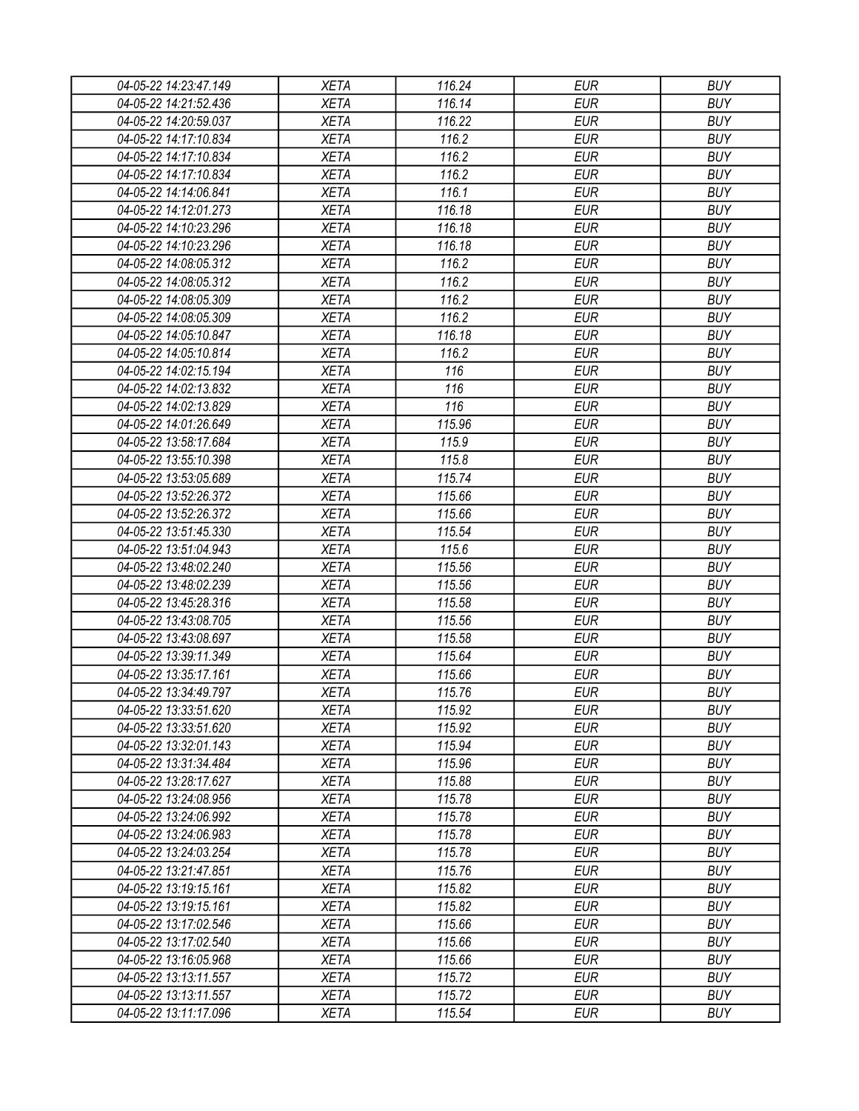| 04-05-22 14:23:47.149 | XETA                       | 116.24           | EUR        | <b>BUY</b> |
|-----------------------|----------------------------|------------------|------------|------------|
| 04-05-22 14:21:52.436 | <b>XETA</b>                | 116.14           | <b>EUR</b> | <b>BUY</b> |
| 04-05-22 14:20:59.037 | <b>XETA</b>                | 116.22           | <b>EUR</b> | <b>BUY</b> |
| 04-05-22 14:17:10.834 | <b>XETA</b>                | 116.2            | <b>EUR</b> | <b>BUY</b> |
| 04-05-22 14:17:10.834 | <b>XETA</b>                | 116.2            | <b>EUR</b> | <b>BUY</b> |
| 04-05-22 14:17:10.834 | <b>XETA</b>                | 116.2            | <b>EUR</b> | <b>BUY</b> |
| 04-05-22 14:14:06.841 | <b>XETA</b>                | 116.1            | <b>EUR</b> | <b>BUY</b> |
| 04-05-22 14:12:01.273 | <b>XETA</b>                | 116.18           | <b>EUR</b> | <b>BUY</b> |
| 04-05-22 14:10:23.296 | <b>XETA</b>                | 116.18           | <b>EUR</b> | <b>BUY</b> |
| 04-05-22 14:10:23.296 | <b>XETA</b>                | 116.18           | <b>EUR</b> | <b>BUY</b> |
| 04-05-22 14:08:05.312 | <b>XETA</b>                | 116.2            | <b>EUR</b> | <b>BUY</b> |
| 04-05-22 14:08:05.312 | <b>XETA</b>                | 116.2            | <b>EUR</b> | <b>BUY</b> |
| 04-05-22 14:08:05.309 | <b>XETA</b>                | 116.2            | <b>EUR</b> | <b>BUY</b> |
| 04-05-22 14:08:05.309 | <b>XETA</b>                | 116.2            | <b>EUR</b> | <b>BUY</b> |
| 04-05-22 14:05:10.847 | <b>XETA</b>                | 116.18           | <b>EUR</b> | <b>BUY</b> |
| 04-05-22 14:05:10.814 | <b>XETA</b>                | 116.2            | <b>EUR</b> | <b>BUY</b> |
| 04-05-22 14:02:15.194 | <b>XETA</b>                | 116              | <b>EUR</b> | <b>BUY</b> |
| 04-05-22 14:02:13.832 | <b>XETA</b>                | 116              | <b>EUR</b> | <b>BUY</b> |
| 04-05-22 14:02:13.829 | <b>XETA</b>                | 116              | <b>EUR</b> | <b>BUY</b> |
| 04-05-22 14:01:26.649 | <b>XETA</b>                | 115.96           | <b>EUR</b> | <b>BUY</b> |
| 04-05-22 13:58:17.684 | <b>XETA</b>                | 115.9            | <b>EUR</b> | <b>BUY</b> |
| 04-05-22 13:55:10.398 | <b>XETA</b>                | 115.8            | <b>EUR</b> | <b>BUY</b> |
| 04-05-22 13:53:05.689 | <b>XETA</b>                | 115.74           | <b>EUR</b> | <b>BUY</b> |
| 04-05-22 13:52:26.372 | <b>XETA</b>                | 115.66           | <b>EUR</b> | <b>BUY</b> |
| 04-05-22 13:52:26.372 | <b>XETA</b>                | 115.66           | <b>EUR</b> | <b>BUY</b> |
| 04-05-22 13:51:45.330 | <b>XETA</b>                | 115.54           | <b>EUR</b> | <b>BUY</b> |
| 04-05-22 13:51:04.943 | <b>XETA</b>                | 115.6            | <b>EUR</b> | <b>BUY</b> |
| 04-05-22 13:48:02.240 | <b>XETA</b>                | 115.56           | <b>EUR</b> | <b>BUY</b> |
| 04-05-22 13:48:02.239 | <b>XETA</b>                | 115.56           | <b>EUR</b> | <b>BUY</b> |
| 04-05-22 13:45:28.316 |                            |                  | <b>EUR</b> | <b>BUY</b> |
| 04-05-22 13:43:08.705 | <b>XETA</b><br><b>XETA</b> | 115.58<br>115.56 | <b>EUR</b> | <b>BUY</b> |
|                       |                            | 115.58           | <b>EUR</b> | <b>BUY</b> |
| 04-05-22 13:43:08.697 | <b>XETA</b>                |                  |            |            |
| 04-05-22 13:39:11.349 | <b>XETA</b>                | 115.64           | <b>EUR</b> | <b>BUY</b> |
| 04-05-22 13:35:17.161 | <b>XETA</b>                | 115.66           | <b>EUR</b> | <b>BUY</b> |
| 04-05-22 13:34:49.797 | <b>XETA</b>                | 115.76           | <b>EUR</b> | <b>BUY</b> |
| 04-05-22 13:33:51.620 | <b>XETA</b>                | 115.92           | <b>EUR</b> | <b>BUY</b> |
| 04-05-22 13:33:51.620 | <b>XETA</b>                | 115.92           | <b>EUR</b> | <b>BUY</b> |
| 04-05-22 13:32:01.143 | <b>XETA</b>                | 115.94           | <b>EUR</b> | <b>BUY</b> |
| 04-05-22 13:31:34.484 | <b>XETA</b>                | 115.96           | <b>EUR</b> | <b>BUY</b> |
| 04-05-22 13:28:17.627 | <b>XETA</b>                | 115.88           | <b>EUR</b> | <b>BUY</b> |
| 04-05-22 13:24:08.956 | <b>XETA</b>                | 115.78           | <b>EUR</b> | <b>BUY</b> |
| 04-05-22 13:24:06.992 | <b>XETA</b>                | 115.78           | <b>EUR</b> | <b>BUY</b> |
| 04-05-22 13:24:06.983 | <b>XETA</b>                | 115.78           | <b>EUR</b> | <b>BUY</b> |
| 04-05-22 13:24:03.254 | <b>XETA</b>                | 115.78           | <b>EUR</b> | <b>BUY</b> |
| 04-05-22 13:21:47.851 | <b>XETA</b>                | 115.76           | <b>EUR</b> | <b>BUY</b> |
| 04-05-22 13:19:15.161 | <b>XETA</b>                | 115.82           | <b>EUR</b> | <b>BUY</b> |
| 04-05-22 13:19:15.161 | <b>XETA</b>                | 115.82           | <b>EUR</b> | <b>BUY</b> |
| 04-05-22 13:17:02.546 | <b>XETA</b>                | 115.66           | <b>EUR</b> | <b>BUY</b> |
| 04-05-22 13:17:02.540 | <b>XETA</b>                | 115.66           | <b>EUR</b> | <b>BUY</b> |
| 04-05-22 13:16:05.968 | <b>XETA</b>                | 115.66           | <b>EUR</b> | <b>BUY</b> |
| 04-05-22 13:13:11.557 | <b>XETA</b>                | 115.72           | EUR        | <b>BUY</b> |
| 04-05-22 13:13:11.557 | <b>XETA</b>                | 115.72           | <b>EUR</b> | <b>BUY</b> |
| 04-05-22 13:11:17.096 | <b>XETA</b>                | 115.54           | <b>EUR</b> | <b>BUY</b> |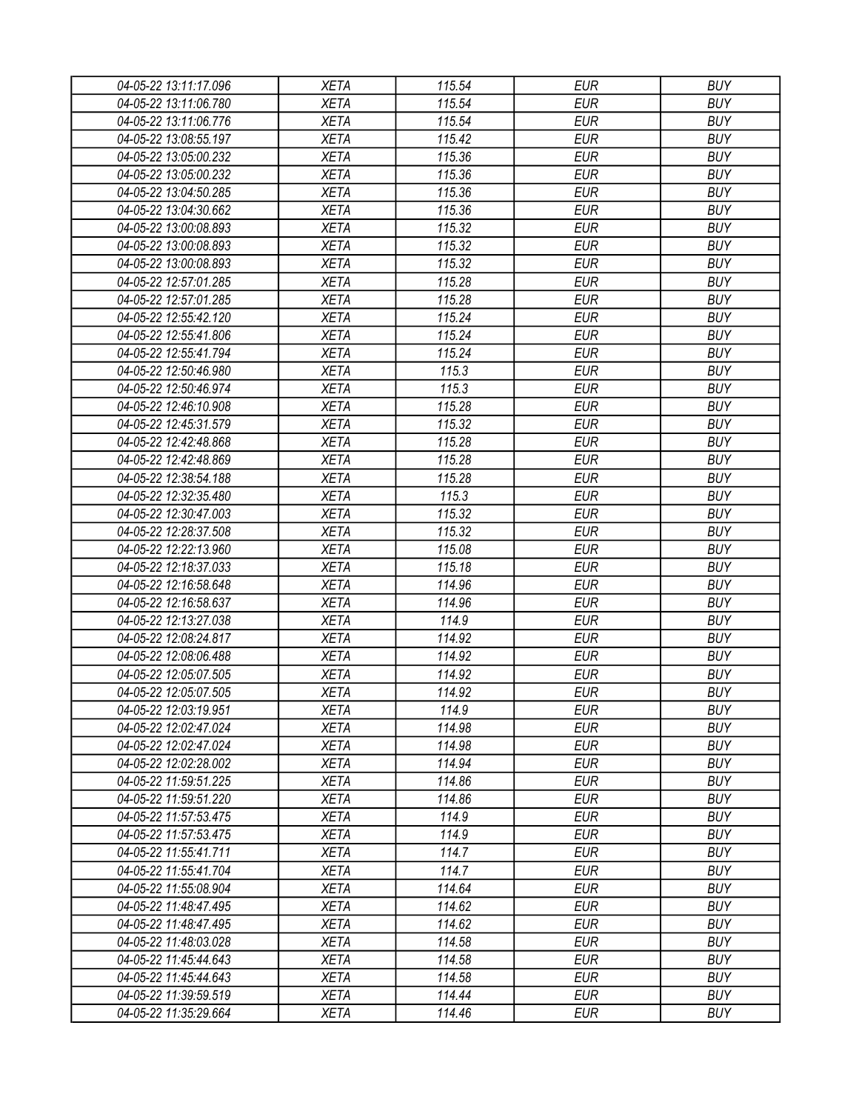| 04-05-22 13:11:17.096 | <b>XETA</b> | 115.54 | <b>EUR</b> | <b>BUY</b> |
|-----------------------|-------------|--------|------------|------------|
| 04-05-22 13:11:06.780 | <b>XETA</b> | 115.54 | <b>EUR</b> | <b>BUY</b> |
| 04-05-22 13:11:06.776 | <b>XETA</b> | 115.54 | <b>EUR</b> | <b>BUY</b> |
| 04-05-22 13:08:55.197 | <b>XETA</b> | 115.42 | <b>EUR</b> | <b>BUY</b> |
| 04-05-22 13:05:00.232 | <b>XETA</b> | 115.36 | <b>EUR</b> | <b>BUY</b> |
| 04-05-22 13:05:00.232 | <b>XETA</b> | 115.36 | <b>EUR</b> | <b>BUY</b> |
| 04-05-22 13:04:50.285 | <b>XETA</b> | 115.36 | <b>EUR</b> | <b>BUY</b> |
| 04-05-22 13:04:30.662 | <b>XETA</b> | 115.36 | <b>EUR</b> | <b>BUY</b> |
| 04-05-22 13:00:08.893 | <b>XETA</b> | 115.32 | <b>EUR</b> | <b>BUY</b> |
| 04-05-22 13:00:08.893 | <b>XETA</b> | 115.32 | <b>EUR</b> | <b>BUY</b> |
| 04-05-22 13:00:08.893 | <b>XETA</b> | 115.32 | <b>EUR</b> | <b>BUY</b> |
| 04-05-22 12:57:01.285 | <b>XETA</b> | 115.28 | <b>EUR</b> | <b>BUY</b> |
| 04-05-22 12:57:01.285 | <b>XETA</b> | 115.28 | <b>EUR</b> | <b>BUY</b> |
| 04-05-22 12:55:42.120 | <b>XETA</b> | 115.24 | <b>EUR</b> | <b>BUY</b> |
| 04-05-22 12:55:41.806 | <b>XETA</b> | 115.24 | <b>EUR</b> | <b>BUY</b> |
| 04-05-22 12:55:41.794 | <b>XETA</b> | 115.24 | <b>EUR</b> | <b>BUY</b> |
| 04-05-22 12:50:46.980 | <b>XETA</b> | 115.3  | <b>EUR</b> | <b>BUY</b> |
| 04-05-22 12:50:46.974 | <b>XETA</b> | 115.3  | <b>EUR</b> | <b>BUY</b> |
| 04-05-22 12:46:10.908 | <b>XETA</b> | 115.28 | <b>EUR</b> | <b>BUY</b> |
| 04-05-22 12:45:31.579 | <b>XETA</b> | 115.32 | <b>EUR</b> | <b>BUY</b> |
| 04-05-22 12:42:48.868 | <b>XETA</b> | 115.28 | <b>EUR</b> | <b>BUY</b> |
| 04-05-22 12:42:48.869 | <b>XETA</b> | 115.28 | <b>EUR</b> | <b>BUY</b> |
| 04-05-22 12:38:54.188 | <b>XETA</b> | 115.28 | <b>EUR</b> | <b>BUY</b> |
| 04-05-22 12:32:35.480 | <b>XETA</b> | 115.3  | <b>EUR</b> | <b>BUY</b> |
| 04-05-22 12:30:47.003 | <b>XETA</b> | 115.32 | <b>EUR</b> | <b>BUY</b> |
| 04-05-22 12:28:37.508 | <b>XETA</b> | 115.32 | <b>EUR</b> | <b>BUY</b> |
| 04-05-22 12:22:13.960 | <b>XETA</b> | 115.08 | <b>EUR</b> | <b>BUY</b> |
| 04-05-22 12:18:37.033 | <b>XETA</b> | 115.18 | <b>EUR</b> | <b>BUY</b> |
| 04-05-22 12:16:58.648 | <b>XETA</b> | 114.96 | <b>EUR</b> | <b>BUY</b> |
| 04-05-22 12:16:58.637 | <b>XETA</b> | 114.96 | <b>EUR</b> | <b>BUY</b> |
| 04-05-22 12:13:27.038 | <b>XETA</b> | 114.9  | <b>EUR</b> | <b>BUY</b> |
| 04-05-22 12:08:24.817 | <b>XETA</b> | 114.92 | <b>EUR</b> | <b>BUY</b> |
| 04-05-22 12:08:06.488 | <b>XETA</b> | 114.92 | <b>EUR</b> | <b>BUY</b> |
| 04-05-22 12:05:07.505 | <b>XETA</b> | 114.92 | <b>EUR</b> | <b>BUY</b> |
| 04-05-22 12:05:07.505 | <b>XETA</b> | 114.92 | <b>EUR</b> | <b>BUY</b> |
| 04-05-22 12:03:19.951 | <b>XETA</b> | 114.9  | <b>EUR</b> | <b>BUY</b> |
| 04-05-22 12:02:47.024 | <b>XETA</b> | 114.98 | <b>EUR</b> | <b>BUY</b> |
| 04-05-22 12:02:47.024 | <b>XETA</b> | 114.98 | <b>EUR</b> | <b>BUY</b> |
| 04-05-22 12:02:28.002 | <b>XETA</b> | 114.94 | <b>EUR</b> | <b>BUY</b> |
| 04-05-22 11:59:51.225 | <b>XETA</b> | 114.86 | <b>EUR</b> | <b>BUY</b> |
| 04-05-22 11:59:51.220 | <b>XETA</b> | 114.86 | <b>EUR</b> | <b>BUY</b> |
| 04-05-22 11:57:53.475 | <b>XETA</b> | 114.9  | <b>EUR</b> | <b>BUY</b> |
| 04-05-22 11:57:53.475 | <b>XETA</b> | 114.9  | <b>EUR</b> | <b>BUY</b> |
| 04-05-22 11:55:41.711 | <b>XETA</b> | 114.7  | <b>EUR</b> | <b>BUY</b> |
| 04-05-22 11:55:41.704 | <b>XETA</b> | 114.7  | <b>EUR</b> | <b>BUY</b> |
| 04-05-22 11:55:08.904 | <b>XETA</b> | 114.64 | <b>EUR</b> | <b>BUY</b> |
| 04-05-22 11:48:47.495 | <b>XETA</b> | 114.62 | <b>EUR</b> | <b>BUY</b> |
| 04-05-22 11:48:47.495 | <b>XETA</b> | 114.62 | <b>EUR</b> | <b>BUY</b> |
| 04-05-22 11:48:03.028 | <b>XETA</b> | 114.58 | <b>EUR</b> | <b>BUY</b> |
| 04-05-22 11:45:44.643 | <b>XETA</b> | 114.58 | <b>EUR</b> | <b>BUY</b> |
| 04-05-22 11:45:44.643 | <b>XETA</b> | 114.58 | <b>EUR</b> | <b>BUY</b> |
| 04-05-22 11:39:59.519 | <b>XETA</b> | 114.44 | <b>EUR</b> | <b>BUY</b> |
| 04-05-22 11:35:29.664 | <b>XETA</b> | 114.46 | <b>EUR</b> | <b>BUY</b> |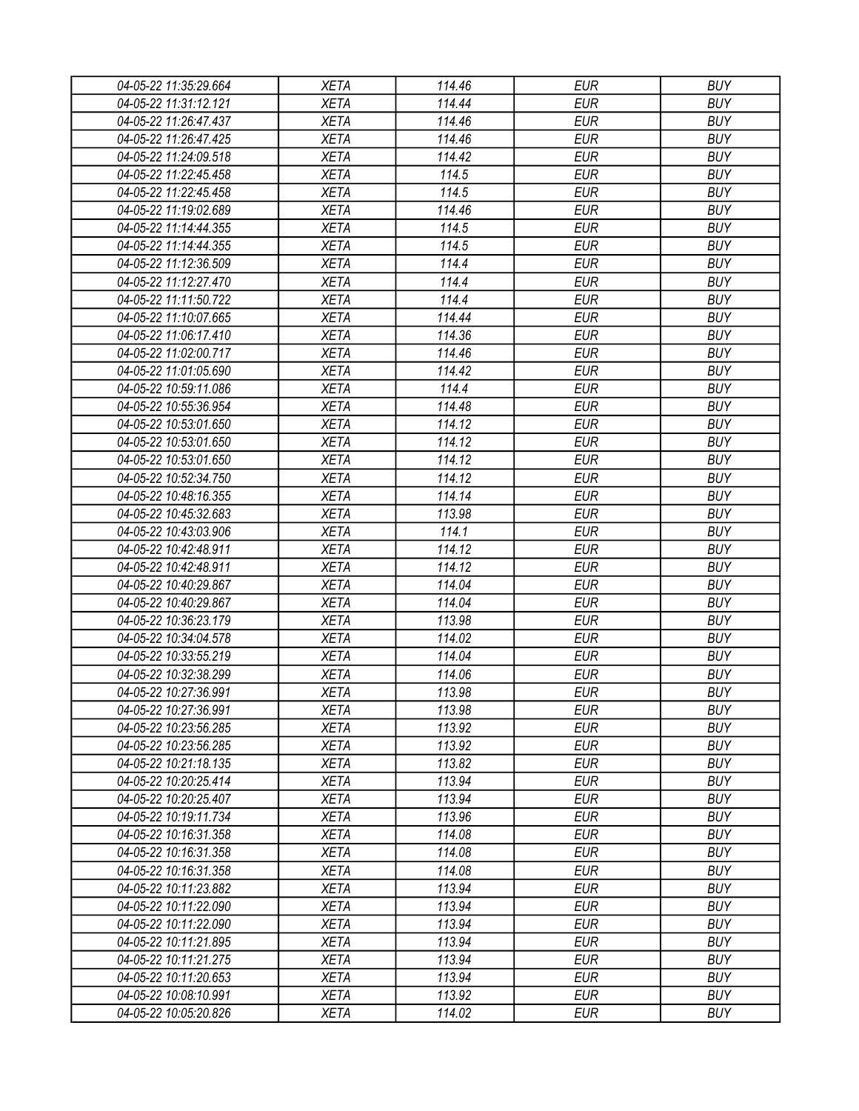| 04-05-22 11:35:29.664 | <b>XETA</b> | 114.46 | <b>EUR</b> | <b>BUY</b> |
|-----------------------|-------------|--------|------------|------------|
| 04-05-22 11:31:12.121 | <b>XETA</b> | 114.44 | <b>EUR</b> | <b>BUY</b> |
| 04-05-22 11:26:47.437 | <b>XETA</b> | 114.46 | <b>EUR</b> | <b>BUY</b> |
| 04-05-22 11:26:47.425 | <b>XETA</b> | 114.46 | <b>EUR</b> | <b>BUY</b> |
| 04-05-22 11:24:09.518 | <b>XETA</b> | 114.42 | <b>EUR</b> | <b>BUY</b> |
| 04-05-22 11:22:45.458 | <b>XETA</b> | 114.5  | <b>EUR</b> | <b>BUY</b> |
| 04-05-22 11:22:45.458 | <b>XETA</b> | 114.5  | <b>EUR</b> | <b>BUY</b> |
| 04-05-22 11:19:02.689 | <b>XETA</b> | 114.46 | <b>EUR</b> | <b>BUY</b> |
| 04-05-22 11:14:44.355 | <b>XETA</b> | 114.5  | <b>EUR</b> | <b>BUY</b> |
| 04-05-22 11:14:44.355 | <b>XETA</b> | 114.5  | <b>EUR</b> | <b>BUY</b> |
| 04-05-22 11:12:36.509 | <b>XETA</b> | 114.4  | <b>EUR</b> | <b>BUY</b> |
| 04-05-22 11:12:27.470 | <b>XETA</b> | 114.4  | <b>EUR</b> | <b>BUY</b> |
| 04-05-22 11:11:50.722 | <b>XETA</b> | 114.4  | <b>EUR</b> | <b>BUY</b> |
| 04-05-22 11:10:07.665 | <b>XETA</b> | 114.44 | <b>EUR</b> | <b>BUY</b> |
| 04-05-22 11:06:17.410 | <b>XETA</b> | 114.36 | <b>EUR</b> | <b>BUY</b> |
| 04-05-22 11:02:00.717 | <b>XETA</b> | 114.46 | <b>EUR</b> | <b>BUY</b> |
| 04-05-22 11:01:05.690 | <b>XETA</b> | 114.42 | <b>EUR</b> | <b>BUY</b> |
| 04-05-22 10:59:11.086 | <b>XETA</b> | 114.4  | <b>EUR</b> | <b>BUY</b> |
| 04-05-22 10:55:36.954 | <b>XETA</b> | 114.48 | <b>EUR</b> | <b>BUY</b> |
| 04-05-22 10:53:01.650 | <b>XETA</b> | 114.12 | <b>EUR</b> | <b>BUY</b> |
| 04-05-22 10:53:01.650 | <b>XETA</b> | 114.12 | <b>EUR</b> | <b>BUY</b> |
| 04-05-22 10:53:01.650 | <b>XETA</b> | 114.12 | <b>EUR</b> | <b>BUY</b> |
| 04-05-22 10:52:34.750 | <b>XETA</b> | 114.12 | <b>EUR</b> | <b>BUY</b> |
| 04-05-22 10:48:16.355 | <b>XETA</b> | 114.14 | <b>EUR</b> | <b>BUY</b> |
| 04-05-22 10:45:32.683 | <b>XETA</b> | 113.98 | <b>EUR</b> | <b>BUY</b> |
| 04-05-22 10:43:03.906 | <b>XETA</b> | 114.1  | <b>EUR</b> | <b>BUY</b> |
| 04-05-22 10:42:48.911 | <b>XETA</b> | 114.12 | <b>EUR</b> | <b>BUY</b> |
| 04-05-22 10:42:48.911 | <b>XETA</b> | 114.12 | <b>EUR</b> | <b>BUY</b> |
| 04-05-22 10:40:29.867 | <b>XETA</b> | 114.04 | <b>EUR</b> | <b>BUY</b> |
| 04-05-22 10:40:29.867 | <b>XETA</b> | 114.04 | <b>EUR</b> | <b>BUY</b> |
| 04-05-22 10:36:23.179 | <b>XETA</b> | 113.98 | <b>EUR</b> | <b>BUY</b> |
| 04-05-22 10:34:04.578 | <b>XETA</b> | 114.02 | <b>EUR</b> | <b>BUY</b> |
| 04-05-22 10:33:55.219 | <b>XETA</b> | 114.04 | <b>EUR</b> | <b>BUY</b> |
| 04-05-22 10:32:38.299 | <b>XETA</b> | 114.06 | <b>EUR</b> | <b>BUY</b> |
| 04-05-22 10:27:36.991 | <b>XETA</b> | 113.98 | <b>EUR</b> | <b>BUY</b> |
| 04-05-22 10:27:36.991 | <b>XETA</b> | 113.98 | <b>EUR</b> | <b>BUY</b> |
| 04-05-22 10:23:56.285 | <b>XETA</b> | 113.92 | <b>EUR</b> | <b>BUY</b> |
| 04-05-22 10:23:56.285 | <b>XETA</b> | 113.92 | <b>EUR</b> | <b>BUY</b> |
| 04-05-22 10:21:18.135 | <b>XETA</b> | 113.82 | <b>EUR</b> | <b>BUY</b> |
| 04-05-22 10:20:25.414 | <b>XETA</b> | 113.94 | <b>EUR</b> | <b>BUY</b> |
| 04-05-22 10:20:25.407 | <b>XETA</b> | 113.94 | <b>EUR</b> | <b>BUY</b> |
| 04-05-22 10:19:11.734 | <b>XETA</b> | 113.96 | <b>EUR</b> | <b>BUY</b> |
| 04-05-22 10:16:31.358 | <b>XETA</b> | 114.08 | <b>EUR</b> | <b>BUY</b> |
| 04-05-22 10:16:31.358 | <b>XETA</b> | 114.08 | <b>EUR</b> | <b>BUY</b> |
| 04-05-22 10:16:31.358 | <b>XETA</b> | 114.08 | <b>EUR</b> | <b>BUY</b> |
| 04-05-22 10:11:23.882 | <b>XETA</b> | 113.94 | <b>EUR</b> | <b>BUY</b> |
| 04-05-22 10:11:22.090 | <b>XETA</b> | 113.94 | <b>EUR</b> | <b>BUY</b> |
| 04-05-22 10:11:22.090 | <b>XETA</b> | 113.94 | <b>EUR</b> | <b>BUY</b> |
| 04-05-22 10:11:21.895 | <b>XETA</b> | 113.94 | <b>EUR</b> | <b>BUY</b> |
| 04-05-22 10:11:21.275 | <b>XETA</b> | 113.94 | <b>EUR</b> | <b>BUY</b> |
| 04-05-22 10:11:20.653 | <b>XETA</b> | 113.94 | <b>EUR</b> | <b>BUY</b> |
| 04-05-22 10:08:10.991 | <b>XETA</b> | 113.92 | <b>EUR</b> | <b>BUY</b> |
| 04-05-22 10:05:20.826 | <b>XETA</b> | 114.02 | <b>EUR</b> | <b>BUY</b> |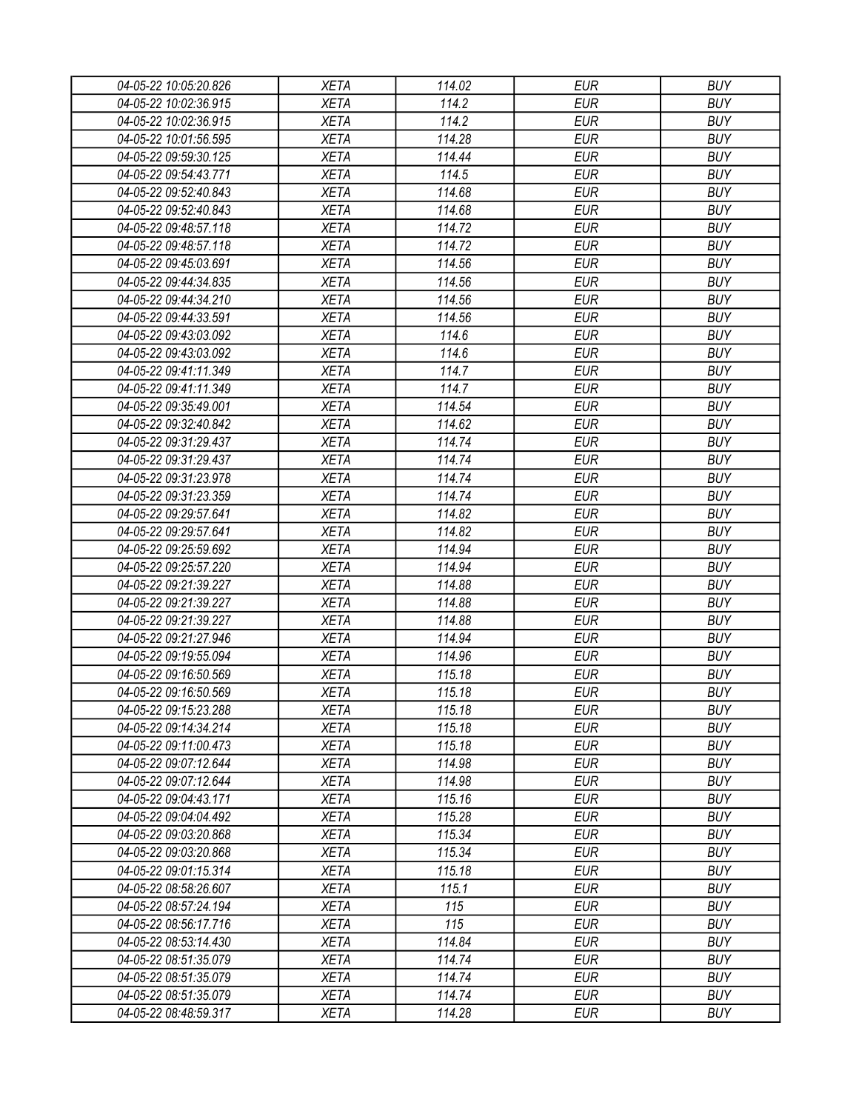| 04-05-22 10:05:20.826 | <b>XETA</b> | 114.02 | <b>EUR</b> | <b>BUY</b> |
|-----------------------|-------------|--------|------------|------------|
| 04-05-22 10:02:36.915 | <b>XETA</b> | 114.2  | <b>EUR</b> | <b>BUY</b> |
| 04-05-22 10:02:36.915 | <b>XETA</b> | 114.2  | <b>EUR</b> | <b>BUY</b> |
| 04-05-22 10:01:56.595 | <b>XETA</b> | 114.28 | <b>EUR</b> | <b>BUY</b> |
| 04-05-22 09:59:30.125 | <b>XETA</b> | 114.44 | <b>EUR</b> | <b>BUY</b> |
| 04-05-22 09:54:43.771 | <b>XETA</b> | 114.5  | <b>EUR</b> | <b>BUY</b> |
| 04-05-22 09:52:40.843 | <b>XETA</b> | 114.68 | <b>EUR</b> | <b>BUY</b> |
| 04-05-22 09:52:40.843 | <b>XETA</b> | 114.68 | <b>EUR</b> | <b>BUY</b> |
| 04-05-22 09:48:57.118 | <b>XETA</b> | 114.72 | <b>EUR</b> | <b>BUY</b> |
| 04-05-22 09:48:57.118 | <b>XETA</b> | 114.72 | <b>EUR</b> | <b>BUY</b> |
| 04-05-22 09:45:03.691 | <b>XETA</b> | 114.56 | <b>EUR</b> | <b>BUY</b> |
| 04-05-22 09:44:34.835 | <b>XETA</b> | 114.56 | <b>EUR</b> | <b>BUY</b> |
| 04-05-22 09:44:34.210 | <b>XETA</b> | 114.56 | <b>EUR</b> | <b>BUY</b> |
| 04-05-22 09:44:33.591 | <b>XETA</b> | 114.56 | <b>EUR</b> | <b>BUY</b> |
| 04-05-22 09:43:03.092 | <b>XETA</b> | 114.6  | <b>EUR</b> | <b>BUY</b> |
| 04-05-22 09:43:03.092 | <b>XETA</b> | 114.6  | <b>EUR</b> | <b>BUY</b> |
| 04-05-22 09:41:11.349 | <b>XETA</b> | 114.7  | <b>EUR</b> | <b>BUY</b> |
| 04-05-22 09:41:11.349 | <b>XETA</b> | 114.7  | <b>EUR</b> | <b>BUY</b> |
| 04-05-22 09:35:49.001 | <b>XETA</b> | 114.54 | <b>EUR</b> | <b>BUY</b> |
| 04-05-22 09:32:40.842 | <b>XETA</b> | 114.62 | <b>EUR</b> | <b>BUY</b> |
| 04-05-22 09:31:29.437 | <b>XETA</b> | 114.74 | <b>EUR</b> | <b>BUY</b> |
| 04-05-22 09:31:29.437 | <b>XETA</b> | 114.74 | <b>EUR</b> | <b>BUY</b> |
| 04-05-22 09:31:23.978 | <b>XETA</b> | 114.74 | <b>EUR</b> | <b>BUY</b> |
| 04-05-22 09:31:23.359 | <b>XETA</b> | 114.74 | <b>EUR</b> | <b>BUY</b> |
| 04-05-22 09:29:57.641 | <b>XETA</b> | 114.82 | <b>EUR</b> | <b>BUY</b> |
| 04-05-22 09:29:57.641 | <b>XETA</b> | 114.82 | <b>EUR</b> | <b>BUY</b> |
| 04-05-22 09:25:59.692 | <b>XETA</b> | 114.94 | <b>EUR</b> | <b>BUY</b> |
| 04-05-22 09:25:57.220 | <b>XETA</b> | 114.94 | <b>EUR</b> | <b>BUY</b> |
| 04-05-22 09:21:39.227 | <b>XETA</b> | 114.88 | <b>EUR</b> | <b>BUY</b> |
| 04-05-22 09:21:39.227 | <b>XETA</b> | 114.88 | <b>EUR</b> | <b>BUY</b> |
| 04-05-22 09:21:39.227 | <b>XETA</b> | 114.88 | <b>EUR</b> | <b>BUY</b> |
| 04-05-22 09:21:27.946 | <b>XETA</b> | 114.94 | <b>EUR</b> | <b>BUY</b> |
| 04-05-22 09:19:55.094 | <b>XETA</b> | 114.96 | <b>EUR</b> | <b>BUY</b> |
| 04-05-22 09:16:50.569 | <b>XETA</b> | 115.18 | <b>EUR</b> | <b>BUY</b> |
| 04-05-22 09:16:50.569 | <b>XETA</b> | 115.18 | <b>EUR</b> | <b>BUY</b> |
| 04-05-22 09:15:23.288 | <b>XETA</b> | 115.18 | <b>EUR</b> | <b>BUY</b> |
| 04-05-22 09:14:34.214 | <b>XETA</b> | 115.18 | <b>EUR</b> | <b>BUY</b> |
| 04-05-22 09:11:00.473 | <b>XETA</b> | 115.18 | <b>EUR</b> | <b>BUY</b> |
| 04-05-22 09:07:12.644 | <b>XETA</b> | 114.98 | <b>EUR</b> | <b>BUY</b> |
| 04-05-22 09:07:12.644 | <b>XETA</b> | 114.98 | <b>EUR</b> | <b>BUY</b> |
| 04-05-22 09:04:43.171 | <b>XETA</b> | 115.16 | <b>EUR</b> | <b>BUY</b> |
| 04-05-22 09:04:04.492 | <b>XETA</b> | 115.28 | <b>EUR</b> | <b>BUY</b> |
| 04-05-22 09:03:20.868 | <b>XETA</b> | 115.34 | <b>EUR</b> | <b>BUY</b> |
|                       | <b>XETA</b> | 115.34 | <b>EUR</b> | <b>BUY</b> |
| 04-05-22 09:03:20.868 |             |        |            |            |
| 04-05-22 09:01:15.314 | <b>XETA</b> | 115.18 | <b>EUR</b> | <b>BUY</b> |
| 04-05-22 08:58:26.607 | <b>XETA</b> | 115.1  | <b>EUR</b> | <b>BUY</b> |
| 04-05-22 08:57:24.194 | <b>XETA</b> | 115    | <b>EUR</b> | <b>BUY</b> |
| 04-05-22 08:56:17.716 | <b>XETA</b> | 115    | <b>EUR</b> | <b>BUY</b> |
| 04-05-22 08:53:14.430 | <b>XETA</b> | 114.84 | <b>EUR</b> | <b>BUY</b> |
| 04-05-22 08:51:35.079 | <b>XETA</b> | 114.74 | <b>EUR</b> | <b>BUY</b> |
| 04-05-22 08:51:35.079 | <b>XETA</b> | 114.74 | EUR        | <b>BUY</b> |
| 04-05-22 08:51:35.079 | XETA        | 114.74 | <b>EUR</b> | <b>BUY</b> |
| 04-05-22 08:48:59.317 | <b>XETA</b> | 114.28 | <b>EUR</b> | <b>BUY</b> |